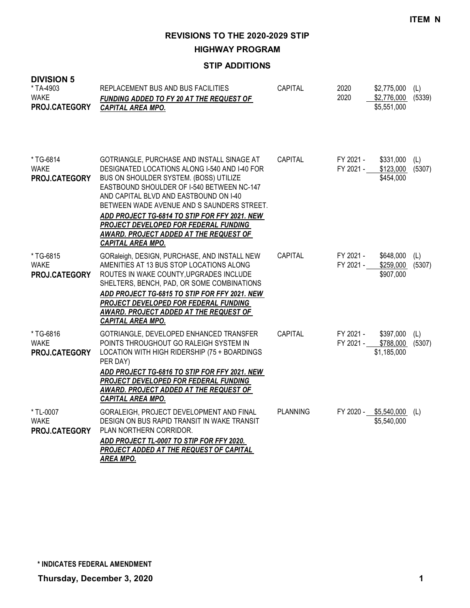**HIGHWAY PROGRAM**

## **STIP ADDITIONS**

| ט וועוטועו<br>*TA-4903<br>WAKE<br>PROJ.CATEGORY | REPLACEMENT BUS AND BUS FACILITIES<br><b>FUNDING ADDED TO FY 20 AT THE REQUEST OF</b><br><b>CAPITAL AREA MPO.</b>                                                                                                                                                                                                                                                                                                                           | CAPITAL         | 2020<br>2020           | $$2,775,000$ (L)<br>\$2,776,000 (5339)<br>\$5,551,000  |     |
|-------------------------------------------------|---------------------------------------------------------------------------------------------------------------------------------------------------------------------------------------------------------------------------------------------------------------------------------------------------------------------------------------------------------------------------------------------------------------------------------------------|-----------------|------------------------|--------------------------------------------------------|-----|
| * TG-6814<br><b>WAKE</b><br>PROJ.CATEGORY       | GOTRIANGLE, PURCHASE AND INSTALL SINAGE AT<br>DESIGNATED LOCATIONS ALONG I-540 AND I-40 FOR<br>BUS ON SHOULDER SYSTEM. (BOSS) UTILIZE<br>EASTBOUND SHOULDER OF I-540 BETWEEN NC-147<br>AND CAPITAL BLVD AND EASTBOUND ON 1-40<br>BETWEEN WADE AVENUE AND S SAUNDERS STREET.<br>ADD PROJECT TG-6814 TO STIP FOR FFY 2021. NEW<br>PROJECT DEVELOPED FOR FEDERAL FUNDING<br>AWARD. PROJECT ADDED AT THE REQUEST OF<br><b>CAPITAL AREA MPO.</b> | CAPITAL         | FY 2021 -<br>FY 2021 - | \$331,000<br>\$123,000 (5307)<br>\$454,000             | (L) |
| *TG-6815<br><b>WAKE</b><br>PROJ.CATEGORY        | GORaleigh, DESIGN, PURCHASE, AND INSTALL NEW<br>AMENITIES AT 13 BUS STOP LOCATIONS ALONG<br>ROUTES IN WAKE COUNTY, UPGRADES INCLUDE<br>SHELTERS, BENCH, PAD, OR SOME COMBINATIONS<br>ADD PROJECT TG-6815 TO STIP FOR FFY 2021. NEW<br>PROJECT DEVELOPED FOR FEDERAL FUNDING<br>AWARD. PROJECT ADDED AT THE REQUEST OF<br><b>CAPITAL AREA MPO.</b>                                                                                           | CAPITAL         | FY 2021 -<br>FY 2021 - | \$648,000<br>\$259,000 (5307)<br>\$907,000             | (L) |
| *TG-6816<br><b>WAKE</b><br>PROJ.CATEGORY        | GOTRIANGLE, DEVELOPED ENHANCED TRANSFER<br>POINTS THROUGHOUT GO RALEIGH SYSTEM IN<br>LOCATION WITH HIGH RIDERSHIP (75 + BOARDINGS<br>PER DAY)<br>ADD PROJECT TG-6816 TO STIP FOR FFY 2021. NEW<br>PROJECT DEVELOPED FOR FEDERAL FUNDING<br>AWARD. PROJECT ADDED AT THE REQUEST OF<br>CAPITAL AREA MPO.                                                                                                                                      | CAPITAL         | FY 2021 -              | \$397,000<br>FY 2021 - \$788,000 (5307)<br>\$1,185,000 | (L) |
| * TL-0007<br><b>WAKE</b><br>PROJ.CATEGORY       | GORALEIGH, PROJECT DEVELOPMENT AND FINAL<br>DESIGN ON BUS RAPID TRANSIT IN WAKE TRANSIT<br>PLAN NORTHERN CORRIDOR.<br>ADD PROJECT TL-0007 TO STIP FOR FFY 2020.<br>PROJECT ADDED AT THE REQUEST OF CAPITAL<br><b>AREA MPO.</b>                                                                                                                                                                                                              | <b>PLANNING</b> |                        | FY 2020 - \$5,540,000 (L)<br>\$5,540,000               |     |

**DIVISION 5**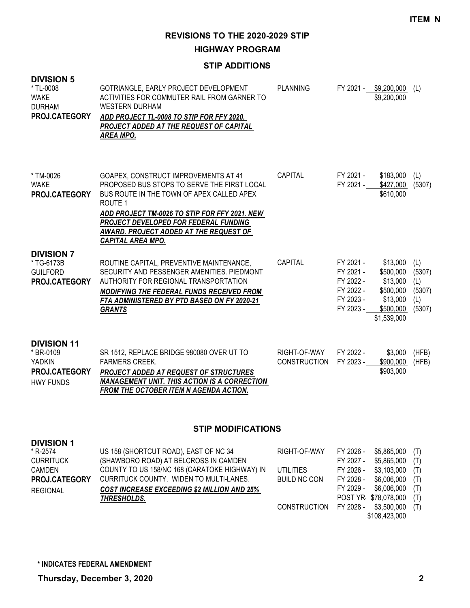**HIGHWAY PROGRAM**

#### **STIP ADDITIONS**

| <b>DIVISION 5</b><br>* TL-0008<br><b>WAKE</b><br><b>DURHAM</b><br>PROJ.CATEGORY                        | GOTRIANGLE, EARLY PROJECT DEVELOPMENT<br>ACTIVITIES FOR COMMUTER RAIL FROM GARNER TO<br><b>WESTERN DURHAM</b><br>ADD PROJECT TL-0008 TO STIP FOR FFY 2020.<br><b>PROJECT ADDED AT THE REQUEST OF CAPITAL</b><br><b>AREA MPO.</b>                                                                            | <b>PLANNING</b>                                         |                                                                            | FY 2021 - \$9,200,000 (L)<br>\$9,200,000                                               |                                                 |
|--------------------------------------------------------------------------------------------------------|-------------------------------------------------------------------------------------------------------------------------------------------------------------------------------------------------------------------------------------------------------------------------------------------------------------|---------------------------------------------------------|----------------------------------------------------------------------------|----------------------------------------------------------------------------------------|-------------------------------------------------|
| * TM-0026<br><b>WAKE</b><br>PROJ.CATEGORY                                                              | GOAPEX, CONSTRUCT IMPROVEMENTS AT 41<br>PROPOSED BUS STOPS TO SERVE THE FIRST LOCAL<br>BUS ROUTE IN THE TOWN OF APEX CALLED APEX<br>ROUTE 1<br>ADD PROJECT TM-0026 TO STIP FOR FFY 2021. NEW<br>PROJECT DEVELOPED FOR FEDERAL FUNDING<br>AWARD. PROJECT ADDED AT THE REQUEST OF<br><b>CAPITAL AREA MPO.</b> | CAPITAL                                                 | FY 2021 -<br>FY 2021 -                                                     | \$183,000<br>\$427,000<br>\$610,000                                                    | (L)<br>(5307)                                   |
| <b>DIVISION 7</b><br>* TG-6173B<br><b>GUILFORD</b><br>PROJ.CATEGORY                                    | ROUTINE CAPITAL, PREVENTIVE MAINTENANCE,<br>SECURITY AND PESSENGER AMENITIES. PIEDMONT<br>AUTHORITY FOR REGIONAL TRANSPORTATION<br><b>MODIFYING THE FEDERAL FUNDS RECEIVED FROM</b><br>FTA ADMINISTERED BY PTD BASED ON FY 2020-21<br><b>GRANTS</b>                                                         | CAPITAL                                                 | FY 2021 -<br>FY 2021 -<br>FY 2022 -<br>FY 2022 -<br>FY 2023 -<br>FY 2023 - | \$13,000<br>\$500,000<br>\$13,000<br>\$500,000<br>\$13,000<br>\$500,000<br>\$1,539,000 | (L)<br>(5307)<br>(L)<br>(5307)<br>(L)<br>(5307) |
| <b>DIVISION 11</b><br>* BR-0109<br>YADKIN<br>PROJ.CATEGORY<br><b>HWY FUNDS</b>                         | SR 1512, REPLACE BRIDGE 980080 OVER UT TO<br><b>FARMERS CREEK.</b><br><b>PROJECT ADDED AT REQUEST OF STRUCTURES</b><br><b>MANAGEMENT UNIT. THIS ACTION IS A CORRECTION</b><br><u>FROM THE OCTOBER ITEM N AGENDA ACTION.</u>                                                                                 | RIGHT-OF-WAY<br>CONSTRUCTION                            | FY 2022 -<br>FY 2023 -                                                     | \$3,000<br>\$900,000<br>\$903,000                                                      | (HFB)<br>(HFB)                                  |
|                                                                                                        | <b>STIP MODIFICATIONS</b>                                                                                                                                                                                                                                                                                   |                                                         |                                                                            |                                                                                        |                                                 |
| <b>DIVISION 1</b><br>* R-2574<br><b>CURRITUCK</b><br><b>CAMDEN</b><br>PROJ.CATEGORY<br><b>REGIONAL</b> | US 158 (SHORTCUT ROAD), EAST OF NC 34<br>(SHAWBORO ROAD) AT BELCROSS IN CAMDEN<br>COUNTY TO US 158/NC 168 (CARATOKE HIGHWAY) IN<br>CURRITUCK COUNTY. WIDEN TO MULTI-LANES.<br><b>COST INCREASE EXCEEDING \$2 MILLION AND 25%</b>                                                                            | RIGHT-OF-WAY<br><b>UTILITIES</b><br><b>BUILD NC CON</b> | FY 2026 -<br>FY 2027 -<br>FY 2026 -<br>FY 2028 -<br>FY 2029 -              | \$5,865,000<br>\$5,865,000<br>\$3,103,000<br>\$6,006,000<br>\$6,006,000                | (T)<br>(T)<br>(T)<br>(T)<br>(T)                 |

*THRESHOLDS.*

CONSTRUCTION FY 2028 - \$3,500,000 (T) \$108,423,000

POST YR- \$78,078,000 (T)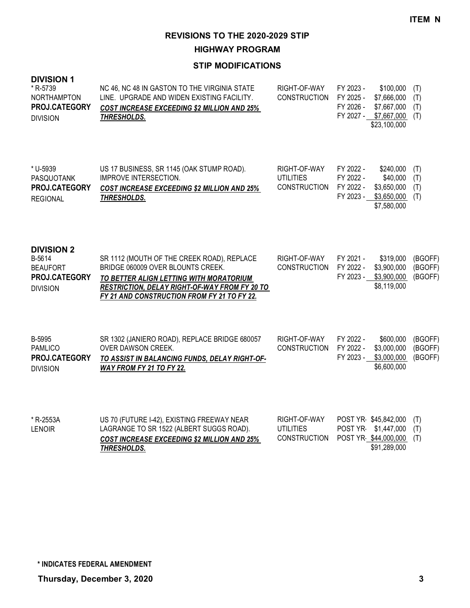**HIGHWAY PROGRAM**

| <b>DIVISION 1</b><br>* R-5739<br><b>NORTHAMPTON</b><br>PROJ.CATEGORY<br><b>DIVISION</b> | NC 46, NC 48 IN GASTON TO THE VIRGINIA STATE<br>LINE. UPGRADE AND WIDEN EXISTING FACILITY.<br><b>COST INCREASE EXCEEDING \$2 MILLION AND 25%</b><br>THRESHOLDS.                                                                   | RIGHT-OF-WAY<br><b>CONSTRUCTION</b>                     | FY 2023 -<br>\$100,000<br>FY 2025 -<br>\$7,666,000<br>FY 2026 -<br>\$7,667,000<br>FY 2027 - \$7,667,000<br>\$23,100,000 | (T)<br>(T)<br>(T)<br>(T)      |
|-----------------------------------------------------------------------------------------|-----------------------------------------------------------------------------------------------------------------------------------------------------------------------------------------------------------------------------------|---------------------------------------------------------|-------------------------------------------------------------------------------------------------------------------------|-------------------------------|
| * U-5939<br>PASQUOTANK<br>PROJ.CATEGORY<br><b>REGIONAL</b>                              | US 17 BUSINESS, SR 1145 (OAK STUMP ROAD).<br>IMPROVE INTERSECTION.<br><b>COST INCREASE EXCEEDING \$2 MILLION AND 25%</b><br>THRESHOLDS.                                                                                           | RIGHT-OF-WAY<br><b>UTILITIES</b><br><b>CONSTRUCTION</b> | FY 2022 -<br>\$240,000<br>FY 2022 -<br>\$40,000<br>FY 2022 -<br>\$3,650,000<br>FY 2023 -<br>\$3,650,000<br>\$7,580,000  | (T)<br>(T)<br>(T)<br>(T)      |
| <b>DIVISION 2</b><br>B-5614<br><b>BEAUFORT</b><br>PROJ.CATEGORY<br><b>DIVISION</b>      | SR 1112 (MOUTH OF THE CREEK ROAD), REPLACE<br>BRIDGE 060009 OVER BLOUNTS CREEK.<br>TO BETTER ALIGN LETTING WITH MORATORIUM<br><b>RESTRICTION, DELAY RIGHT-OF-WAY FROM FY 20 TO</b><br>FY 21 AND CONSTRUCTION FROM FY 21 TO FY 22. | RIGHT-OF-WAY<br><b>CONSTRUCTION</b>                     | FY 2021 -<br>\$319,000<br>FY 2022 -<br>\$3,900,000<br>FY 2023 -<br>\$3,900,000<br>\$8,119,000                           | (BGOFF)<br>(BGOFF)<br>(BGOFF) |
| B-5995<br><b>PAMLICO</b><br>PROJ.CATEGORY<br><b>DIVISION</b>                            | SR 1302 (JANIERO ROAD), REPLACE BRIDGE 680057<br><b>OVER DAWSON CREEK.</b><br>TO ASSIST IN BALANCING FUNDS, DELAY RIGHT-OF-<br><b>WAY FROM FY 21 TO FY 22.</b>                                                                    | RIGHT-OF-WAY<br><b>CONSTRUCTION</b>                     | FY 2022 -<br>\$600,000<br>FY 2022 -<br>\$3,000,000<br>FY 2023 -<br>\$3,000,000<br>\$6,600,000                           | (BGOFF)<br>(BGOFF)<br>(BGOFF) |
| * R-2553A<br><b>LENOIR</b>                                                              | US 70 (FUTURE I-42), EXISTING FREEWAY NEAR<br>LAGRANGE TO SR 1522 (ALBERT SUGGS ROAD).<br><b>COST INCREASE EXCEEDING \$2 MILLION AND 25%</b><br><b>THRESHOLDS.</b>                                                                | RIGHT-OF-WAY<br><b>UTILITIES</b><br><b>CONSTRUCTION</b> | POST YR \$45,842,000<br>\$1,447,000<br>POST YR-<br>POST YR \$44,000,000<br>\$91,289,000                                 | (T)<br>(T)<br>(T)             |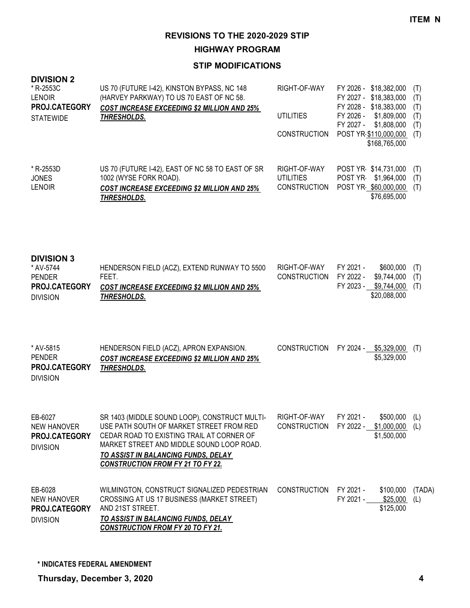**HIGHWAY PROGRAM**

| <b>DIVISION 2</b><br>* R-2553C<br><b>LENOIR</b><br>PROJ.CATEGORY<br><b>STATEWIDE</b> | US 70 (FUTURE I-42), KINSTON BYPASS, NC 148<br>(HARVEY PARKWAY) TO US 70 EAST OF NC 58.<br><b>COST INCREASE EXCEEDING \$2 MILLION AND 25%</b><br>THRESHOLDS.                                                                                                           | RIGHT-OF-WAY<br><b>UTILITIES</b><br><b>CONSTRUCTION</b> | FY 2026 - \$18,382,000<br>FY 2027 - \$18,383,000<br>FY 2028 - \$18,383,000<br>\$1,809,000<br>FY 2026 -<br>FY 2027 -<br>\$1,808,000<br>POST YR \$110,000,000<br>\$168,765,000 | (T)<br>(T)<br>(T)<br>(T)<br>(T)<br>(T) |
|--------------------------------------------------------------------------------------|------------------------------------------------------------------------------------------------------------------------------------------------------------------------------------------------------------------------------------------------------------------------|---------------------------------------------------------|------------------------------------------------------------------------------------------------------------------------------------------------------------------------------|----------------------------------------|
| * R-2553D<br><b>JONES</b><br><b>LENOIR</b>                                           | US 70 (FUTURE I-42), EAST OF NC 58 TO EAST OF SR<br>1002 (WYSE FORK ROAD).<br><b>COST INCREASE EXCEEDING \$2 MILLION AND 25%</b><br><b>THRESHOLDS.</b>                                                                                                                 | RIGHT-OF-WAY<br><b>UTILITIES</b><br><b>CONSTRUCTION</b> | POST YR \$14,731,000<br>POST YR<br>\$1,964,000<br>POST YR \$60,000,000<br>\$76,695,000                                                                                       | (T)<br>(T)<br>(T)                      |
| <b>DIVISION 3</b><br>* AV-5744<br><b>PENDER</b><br>PROJ.CATEGORY<br><b>DIVISION</b>  | HENDERSON FIELD (ACZ), EXTEND RUNWAY TO 5500<br>FEET.<br><b>COST INCREASE EXCEEDING \$2 MILLION AND 25%</b><br>THRESHOLDS.                                                                                                                                             | RIGHT-OF-WAY<br><b>CONSTRUCTION</b>                     | FY 2021 -<br>\$600,000<br>FY 2022 -<br>\$9,744,000<br>FY 2023 - \$9,744,000<br>\$20,088,000                                                                                  | (T)<br>(T)<br>(T)                      |
| * AV-5815<br><b>PENDER</b><br>PROJ.CATEGORY<br><b>DIVISION</b>                       | HENDERSON FIELD (ACZ), APRON EXPANSION.<br><b>COST INCREASE EXCEEDING \$2 MILLION AND 25%</b><br><b>THRESHOLDS.</b>                                                                                                                                                    | <b>CONSTRUCTION</b>                                     | FY 2024 - \$5,329,000<br>\$5,329,000                                                                                                                                         | (T)                                    |
| EB-6027<br>NEW HANOVER<br>PROJ.CATEGORY<br><b>DIVISION</b>                           | SR 1403 (MIDDLE SOUND LOOP), CONSTRUCT MULTI-<br>USE PATH SOUTH OF MARKET STREET FROM RED<br>CEDAR ROAD TO EXISTING TRAIL AT CORNER OF<br>MARKET STREET AND MIDDLE SOUND LOOP ROAD.<br>TO ASSIST IN BALANCING FUNDS, DELAY<br><b>CONSTRUCTION FROM FY 21 TO FY 22.</b> | RIGHT-OF-WAY<br><b>CONSTRUCTION</b>                     | FY 2021 -<br>$$500,000$ (L)<br>FY 2022 - \$1,000,000<br>\$1,500,000                                                                                                          | (L)                                    |
| EB-6028<br><b>NEW HANOVER</b><br>PROJ.CATEGORY<br><b>DIVISION</b>                    | WILMINGTON, CONSTRUCT SIGNALIZED PEDESTRIAN<br>CROSSING AT US 17 BUSINESS (MARKET STREET)<br>AND 21ST STREET.<br>TO ASSIST IN BALANCING FUNDS, DELAY<br><b>CONSTRUCTION FROM FY 20 TO FY 21.</b>                                                                       | <b>CONSTRUCTION</b>                                     | FY 2021 -<br>\$100,000<br>FY 2021 -<br>\$25,000<br>\$125,000                                                                                                                 | (TADA)<br>(L)                          |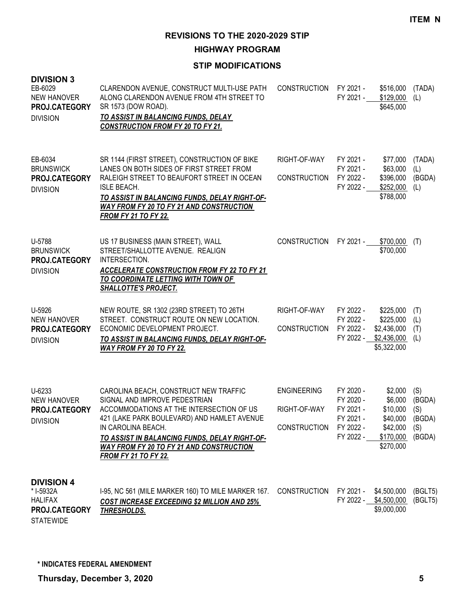**HIGHWAY PROGRAM**

| <b>DIVISION 3</b><br>EB-6029<br><b>NEW HANOVER</b><br>PROJ.CATEGORY<br><b>DIVISION</b> | CLARENDON AVENUE, CONSTRUCT MULTI-USE PATH<br>ALONG CLARENDON AVENUE FROM 4TH STREET TO<br>SR 1573 (DOW ROAD).<br>TO ASSIST IN BALANCING FUNDS, DELAY<br><b>CONSTRUCTION FROM FY 20 TO FY 21.</b>                                                                                                                   | <b>CONSTRUCTION</b>                                       | FY 2021 -<br>FY 2021 -                                                     | \$516,000<br>\$129,000<br>\$645,000                                              | (TADA)<br>(L)                                   |
|----------------------------------------------------------------------------------------|---------------------------------------------------------------------------------------------------------------------------------------------------------------------------------------------------------------------------------------------------------------------------------------------------------------------|-----------------------------------------------------------|----------------------------------------------------------------------------|----------------------------------------------------------------------------------|-------------------------------------------------|
| EB-6034<br><b>BRUNSWICK</b><br>PROJ.CATEGORY<br><b>DIVISION</b>                        | SR 1144 (FIRST STREET), CONSTRUCTION OF BIKE<br>LANES ON BOTH SIDES OF FIRST STREET FROM<br>RALEIGH STREET TO BEAUFORT STREET IN OCEAN<br><b>ISLE BEACH.</b><br>TO ASSIST IN BALANCING FUNDS, DELAY RIGHT-OF-<br><b>WAY FROM FY 20 TO FY 21 AND CONSTRUCTION</b><br><b>FROM FY 21 TO FY 22.</b>                     | RIGHT-OF-WAY<br><b>CONSTRUCTION</b>                       | FY 2021 -<br>FY 2021 -<br>FY 2022 -<br>FY 2022 -                           | \$77,000<br>\$63,000<br>\$396,000<br>\$252,000<br>\$788,000                      | (TADA)<br>(L)<br>(BGDA)<br>(L)                  |
| U-5788<br><b>BRUNSWICK</b><br>PROJ.CATEGORY<br><b>DIVISION</b>                         | US 17 BUSINESS (MAIN STREET), WALL<br>STREET/SHALLOTTE AVENUE. REALIGN<br>INTERSECTION.<br><b>ACCELERATE CONSTRUCTION FROM FY 22 TO FY 21</b><br>TO COORDINATE LETTING WITH TOWN OF<br><b>SHALLOTTE'S PROJECT.</b>                                                                                                  | <b>CONSTRUCTION</b>                                       | FY 2021 -                                                                  | \$700,000<br>\$700,000                                                           | (T)                                             |
| U-5926<br>NEW HANOVER<br>PROJ.CATEGORY<br><b>DIVISION</b>                              | NEW ROUTE, SR 1302 (23RD STREET) TO 26TH<br>STREET. CONSTRUCT ROUTE ON NEW LOCATION.<br>ECONOMIC DEVELOPMENT PROJECT.<br>TO ASSIST IN BALANCING FUNDS, DELAY RIGHT-OF-<br>WAY FROM FY 20 TO FY 22.                                                                                                                  | RIGHT-OF-WAY<br><b>CONSTRUCTION</b>                       | FY 2022 -<br>FY 2022 -<br>FY 2022 -<br>FY 2022 -                           | \$225,000<br>\$225,000<br>\$2,436,000<br>\$2,436,000<br>\$5,322,000              | (T)<br>(L)<br>(T)<br>(L)                        |
| U-6233<br>NEW HANOVER<br>PROJ.CATEGORY<br><b>DIVISION</b>                              | CAROLINA BEACH, CONSTRUCT NEW TRAFFIC<br>SIGNAL AND IMPROVE PEDESTRIAN<br>ACCOMMODATIONS AT THE INTERSECTION OF US<br>421 (LAKE PARK BOULEVARD) AND HAMLET AVENUE<br>IN CAROLINA BEACH.<br>TO ASSIST IN BALANCING FUNDS, DELAY RIGHT-OF-<br>WAY FROM FY 20 TO FY 21 AND CONSTRUCTION<br><b>FROM FY 21 TO FY 22.</b> | <b>ENGINEERING</b><br>RIGHT-OF-WAY<br><b>CONSTRUCTION</b> | FY 2020 -<br>FY 2020 -<br>FY 2021 -<br>FY 2021 -<br>FY 2022 -<br>FY 2022 - | \$2,000<br>\$6,000<br>\$10,000<br>\$40,000<br>\$42,000<br>\$170,000<br>\$270,000 | (S)<br>(BGDA)<br>(S)<br>(BGDA)<br>(S)<br>(BGDA) |
| <b>DIVISION 4</b><br>* I-5932A<br><b>HALIFAX</b><br>PROJ.CATEGORY<br><b>STATEWIDE</b>  | I-95, NC 561 (MILE MARKER 160) TO MILE MARKER 167.<br><b>COST INCREASE EXCEEDING \$2 MILLION AND 25%</b><br>THRESHOLDS.                                                                                                                                                                                             | <b>CONSTRUCTION</b>                                       | FY 2021 -                                                                  | \$4,500,000<br>FY 2022 - \$4,500,000<br>\$9,000,000                              | (BGLT5)<br>(BGLT5)                              |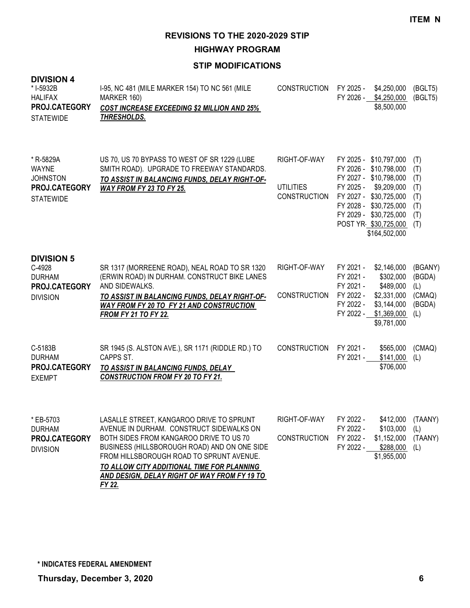**HIGHWAY PROGRAM**

| <b>DIVISION 4</b><br>* I-5932B<br><b>HALIFAX</b><br>PROJ.CATEGORY<br><b>STATEWIDE</b> | 1-95, NC 481 (MILE MARKER 154) TO NC 561 (MILE<br>MARKER 160)<br><b>COST INCREASE EXCEEDING \$2 MILLION AND 25%</b><br><u>THRESHOLDS.</u>                                                                                                                                                                                           | <b>CONSTRUCTION</b>                                     | FY 2025 -                                                                  | \$4,250,000<br>FY 2026 - \$4,250,000<br>\$8,500,000                                                                                                                                                              | (BGLT5)<br>(BGLT5)                                   |
|---------------------------------------------------------------------------------------|-------------------------------------------------------------------------------------------------------------------------------------------------------------------------------------------------------------------------------------------------------------------------------------------------------------------------------------|---------------------------------------------------------|----------------------------------------------------------------------------|------------------------------------------------------------------------------------------------------------------------------------------------------------------------------------------------------------------|------------------------------------------------------|
| * R-5829A<br><b>WAYNE</b><br><b>JOHNSTON</b><br>PROJ.CATEGORY<br><b>STATEWIDE</b>     | US 70, US 70 BYPASS TO WEST OF SR 1229 (LUBE<br>SMITH ROAD). UPGRADE TO FREEWAY STANDARDS.<br>TO ASSIST IN BALANCING FUNDS, DELAY RIGHT-OF-<br>WAY FROM FY 23 TO FY 25.                                                                                                                                                             | RIGHT-OF-WAY<br><b>UTILITIES</b><br><b>CONSTRUCTION</b> | FY 2025 -                                                                  | FY 2025 - \$10,797,000<br>FY 2026 - \$10,798,000<br>FY 2027 - \$10,798,000<br>\$9,209,000<br>FY 2027 - \$30,725,000<br>FY 2028 - \$30,725,000<br>FY 2029 - \$30,725,000<br>POST YR \$30,725,000<br>\$164,502,000 | (T)<br>(T)<br>(T)<br>(T)<br>(T)<br>(T)<br>(T)<br>(T) |
| <b>DIVISION 5</b><br>C-4928<br><b>DURHAM</b><br>PROJ.CATEGORY<br><b>DIVISION</b>      | SR 1317 (MORREENE ROAD), NEAL ROAD TO SR 1320<br>(ERWIN ROAD) IN DURHAM. CONSTRUCT BIKE LANES<br>AND SIDEWALKS.<br>TO ASSIST IN BALANCING FUNDS, DELAY RIGHT-OF-<br><b>WAY FROM FY 20 TO FY 21 AND CONSTRUCTION</b><br><b>FROM FY 21 TO FY 22.</b>                                                                                  | RIGHT-OF-WAY<br>CONSTRUCTION                            | FY 2021 -<br>FY 2021 -<br>FY 2021 -<br>FY 2022 -<br>FY 2022 -<br>FY 2022 - | \$2,146,000<br>\$302,000<br>\$489,000<br>\$2,331,000<br>\$3,144,000<br>\$1,369,000<br>\$9,781,000                                                                                                                | (BGANY)<br>(BGDA)<br>(L)<br>(CMAQ)<br>(BGDA)<br>(L)  |
| C-5183B<br><b>DURHAM</b><br>PROJ.CATEGORY<br><b>EXEMPT</b>                            | SR 1945 (S. ALSTON AVE.), SR 1171 (RIDDLE RD.) TO<br>CAPPS ST.<br>TO ASSIST IN BALANCING FUNDS, DELAY<br><b>CONSTRUCTION FROM FY 20 TO FY 21.</b>                                                                                                                                                                                   | <b>CONSTRUCTION</b>                                     | FY 2021 -<br>FY 2021 -                                                     | \$565,000<br>\$141,000<br>\$706,000                                                                                                                                                                              | (CMAQ)<br>(L)                                        |
| * EB-5703<br><b>DURHAM</b><br>PROJ.CATEGORY<br><b>DIVISION</b>                        | LASALLE STREET, KANGAROO DRIVE TO SPRUNT<br>AVENUE IN DURHAM. CONSTRUCT SIDEWALKS ON<br>BOTH SIDES FROM KANGAROO DRIVE TO US 70<br>BUSINESS (HILLSBOROUGH ROAD) AND ON ONE SIDE<br>FROM HILLSBOROUGH ROAD TO SPRUNT AVENUE.<br>TO ALLOW CITY ADDITIONAL TIME FOR PLANNING<br>AND DESIGN, DELAY RIGHT OF WAY FROM FY 19 TO<br>FY 22. | RIGHT-OF-WAY<br><b>CONSTRUCTION</b>                     | FY 2022<br>FY 2022 -<br>FY 2022 -                                          | \$412,000 (TAANY)<br>\$103,000<br>\$1,152,000<br>FY 2022 - \$288,000<br>\$1,955,000                                                                                                                              | (L)<br>(TAANY)<br>(L)                                |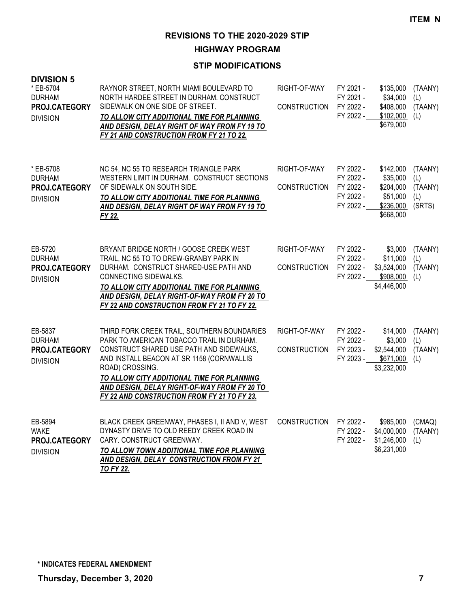**HIGHWAY PROGRAM**

| <b>DIVISION 5</b><br>* EB-5704<br><b>DURHAM</b><br>PROJ.CATEGORY<br><b>DIVISION</b> | RAYNOR STREET, NORTH MIAMI BOULEVARD TO<br>NORTH HARDEE STREET IN DURHAM. CONSTRUCT<br>SIDEWALK ON ONE SIDE OF STREET.<br>TO ALLOW CITY ADDITIONAL TIME FOR PLANNING<br>AND DESIGN, DELAY RIGHT OF WAY FROM FY 19 TO<br>FY 21 AND CONSTRUCTION FROM FY 21 TO 22.                                                                                  | RIGHT-OF-WAY<br><b>CONSTRUCTION</b> | FY 2021 -<br>FY 2021 -<br>FY 2022 -<br>FY 2022 -              | \$135,000<br>\$34,000<br>\$408,000<br>\$102,000<br>\$679,000             | (TAANY)<br>(L)<br>(TAANY)<br>(L)           |
|-------------------------------------------------------------------------------------|---------------------------------------------------------------------------------------------------------------------------------------------------------------------------------------------------------------------------------------------------------------------------------------------------------------------------------------------------|-------------------------------------|---------------------------------------------------------------|--------------------------------------------------------------------------|--------------------------------------------|
| * EB-5708<br><b>DURHAM</b><br>PROJ.CATEGORY<br><b>DIVISION</b>                      | NC 54, NC 55 TO RESEARCH TRIANGLE PARK<br>WESTERN LIMIT IN DURHAM. CONSTRUCT SECTIONS<br>OF SIDEWALK ON SOUTH SIDE.<br>TO ALLOW CITY ADDITIONAL TIME FOR PLANNING<br>AND DESIGN, DELAY RIGHT OF WAY FROM FY 19 TO<br>FY 22.                                                                                                                       | RIGHT-OF-WAY<br><b>CONSTRUCTION</b> | FY 2022 -<br>FY 2022 -<br>FY 2022 -<br>FY 2022 -<br>FY 2022 - | \$142,000<br>\$35,000<br>\$204,000<br>\$51,000<br>\$236,000<br>\$668,000 | (TAANY)<br>(L)<br>(TAANY)<br>(L)<br>(SRTS) |
| EB-5720<br><b>DURHAM</b><br>PROJ.CATEGORY<br><b>DIVISION</b>                        | BRYANT BRIDGE NORTH / GOOSE CREEK WEST<br>TRAIL, NC 55 TO TO DREW-GRANBY PARK IN<br>DURHAM. CONSTRUCT SHARED-USE PATH AND<br>CONNECTING SIDEWALKS.<br>TO ALLOW CITY ADDITIONAL TIME FOR PLANNING<br>AND DESIGN, DELAY RIGHT-OF-WAY FROM FY 20 TO<br>FY 22 AND CONSTRUCTION FROM FY 21 TO FY 22.                                                   | RIGHT-OF-WAY<br><b>CONSTRUCTION</b> | FY 2022 -<br>FY 2022 -<br>FY 2022 -<br>FY 2022 -              | \$3,000<br>\$11,000<br>\$3,524,000<br>\$908,000<br>\$4,446,000           | (TAANY)<br>(L)<br>(TAANY)<br>(L)           |
| EB-5837<br><b>DURHAM</b><br>PROJ.CATEGORY<br><b>DIVISION</b>                        | THIRD FORK CREEK TRAIL, SOUTHERN BOUNDARIES<br>PARK TO AMERICAN TOBACCO TRAIL IN DURHAM.<br>CONSTRUCT SHARED USE PATH AND SIDEWALKS,<br>AND INSTALL BEACON AT SR 1158 (CORNWALLIS<br>ROAD) CROSSING.<br>TO ALLOW CITY ADDITIONAL TIME FOR PLANNING<br>AND DESIGN, DELAY RIGHT-OF-WAY FROM FY 20 TO<br>FY 22 AND CONSTRUCTION FROM FY 21 TO FY 23. | RIGHT-OF-WAY<br><b>CONSTRUCTION</b> | FY 2022 -<br>FY 2022 -<br>FY 2023 -<br>FY 2023 -              | \$14,000<br>\$3,000<br>\$2,544,000<br>\$671,000<br>\$3,232,000           | (TAANY)<br>(L)<br>(TAANY)<br>(L)           |
| EB-5894<br><b>WAKE</b><br>PROJ.CATEGORY<br><b>DIVISION</b>                          | BLACK CREEK GREENWAY, PHASES I, II AND V, WEST<br>DYNASTY DRIVE TO OLD REEDY CREEK ROAD IN<br>CARY. CONSTRUCT GREENWAY.<br>TO ALLOW TOWN ADDITIONAL TIME FOR PLANNING<br>AND DESIGN, DELAY CONSTRUCTION FROM FY 21<br><b>TO FY 22.</b>                                                                                                            | <b>CONSTRUCTION</b>                 | FY 2022 -<br>FY 2022 -<br>FY 2022 -                           | \$985,000<br>\$4,000,000<br>\$1,246,000<br>\$6,231,000                   | (CMAQ)<br>(TAANY)<br>(L)                   |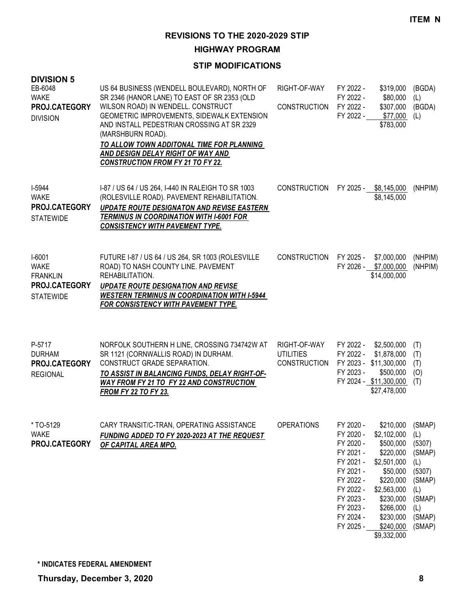**HIGHWAY PROGRAM**

| <b>DIVISION 5</b><br>EB-6048<br><b>WAKE</b><br>PROJ.CATEGORY<br><b>DIVISION</b> | US 64 BUSINESS (WENDELL BOULEVARD), NORTH OF<br>SR 2346 (HANOR LANE) TO EAST OF SR 2353 (OLD<br>WILSON ROAD) IN WENDELL. CONSTRUCT<br>GEOMETRIC IMPROVEMENTS, SIDEWALK EXTENSION<br>AND INSTALL PEDESTRIAN CROSSING AT SR 2329<br>(MARSHBURN ROAD).<br>TO ALLOW TOWN ADDITONAL TIME FOR PLANNING<br><b>AND DESIGN DELAY RIGHT OF WAY AND</b><br><b>CONSTRUCTION FROM FY 21 TO FY 22.</b> | RIGHT-OF-WAY<br><b>CONSTRUCTION</b>                     | FY 2022 -<br>FY 2022 -<br>FY 2022 -<br>FY 2022 -                                                                                                         | \$319,000<br>\$80,000<br>\$307,000<br>\$77,000<br>\$783,000                                                                                                                  | (BGDA)<br>(L)<br>(BGDA)<br>(L)                                                                           |
|---------------------------------------------------------------------------------|------------------------------------------------------------------------------------------------------------------------------------------------------------------------------------------------------------------------------------------------------------------------------------------------------------------------------------------------------------------------------------------|---------------------------------------------------------|----------------------------------------------------------------------------------------------------------------------------------------------------------|------------------------------------------------------------------------------------------------------------------------------------------------------------------------------|----------------------------------------------------------------------------------------------------------|
| I-5944<br><b>WAKE</b><br>PROJ.CATEGORY<br><b>STATEWIDE</b>                      | 1-87 / US 64 / US 264, 1-440 IN RALEIGH TO SR 1003<br>(ROLESVILLE ROAD). PAVEMENT REHABILITATION.<br><b>UPDATE ROUTE DESIGNATON AND REVISE EASTERN</b><br><b>TERMINUS IN COORDINATION WITH I-6001 FOR</b><br><b>CONSISTENCY WITH PAVEMENT TYPE.</b>                                                                                                                                      | <b>CONSTRUCTION</b>                                     | FY 2025 -                                                                                                                                                | \$8,145,000<br>\$8,145,000                                                                                                                                                   | (NHPIM)                                                                                                  |
| I-6001<br><b>WAKE</b><br><b>FRANKLIN</b><br>PROJ.CATEGORY<br><b>STATEWIDE</b>   | FUTURE I-87 / US 64 / US 264, SR 1003 (ROLESVILLE<br>ROAD) TO NASH COUNTY LINE. PAVEMENT<br>REHABILITATION.<br><b>UPDATE ROUTE DESIGNATION AND REVISE</b><br><b>WESTERN TERMINUS IN COORDINATION WITH I-5944</b><br>FOR CONSISTENCY WITH PAVEMENT TYPE.                                                                                                                                  | <b>CONSTRUCTION</b>                                     | FY 2025 -                                                                                                                                                | \$7,000,000<br>FY 2026 - \$7,000,000<br>\$14,000,000                                                                                                                         | (NHPIM)<br>(NHPIM)                                                                                       |
| P-5717<br><b>DURHAM</b><br>PROJ.CATEGORY<br><b>REGIONAL</b>                     | NORFOLK SOUTHERN H LINE, CROSSING 734742W AT<br>SR 1121 (CORNWALLIS ROAD) IN DURHAM.<br>CONSTRUCT GRADE SEPARATION.<br>TO ASSIST IN BALANCING FUNDS, DELAY RIGHT-OF-<br>WAY FROM FY 21 TO FY 22 AND CONSTRUCTION<br><b>FROM FY 22 TO FY 23.</b>                                                                                                                                          | RIGHT-OF-WAY<br><b>UTILITIES</b><br><b>CONSTRUCTION</b> | FY 2022 -<br>FY 2022 -<br>FY 2023 -                                                                                                                      | \$2,500,000<br>\$1,878,000<br>FY 2023 - \$11,300,000<br>\$500,000<br>FY 2024 - \$11,300,000<br>\$27,478,000                                                                  | (T)<br>(T)<br>(T)<br>(O)<br>(T)                                                                          |
| *TO-5129<br><b>WAKE</b><br>PROJ.CATEGORY                                        | CARY TRANSIT/C-TRAN, OPERATING ASSISTANCE<br>FUNDING ADDED TO FY 2020-2023 AT THE REQUEST<br>OF CAPITAL AREA MPO.                                                                                                                                                                                                                                                                        | <b>OPERATIONS</b>                                       | FY 2020 -<br>FY 2020 -<br>FY 2020 -<br>FY 2021 -<br>FY 2021 -<br>FY 2021 -<br>FY 2022 -<br>FY 2022 -<br>FY 2023 -<br>FY 2023 -<br>FY 2024 -<br>FY 2025 - | \$210,000<br>\$2,102,000<br>\$500,000<br>\$220,000<br>\$2,501,000<br>\$50,000<br>\$220,000<br>\$2,563,000<br>\$230,000<br>\$266,000<br>\$230,000<br>\$240,000<br>\$9,332,000 | (SMAP)<br>(L)<br>(5307)<br>(SMAP)<br>(L)<br>(5307)<br>(SMAP)<br>(L)<br>(SMAP)<br>(L)<br>(SMAP)<br>(SMAP) |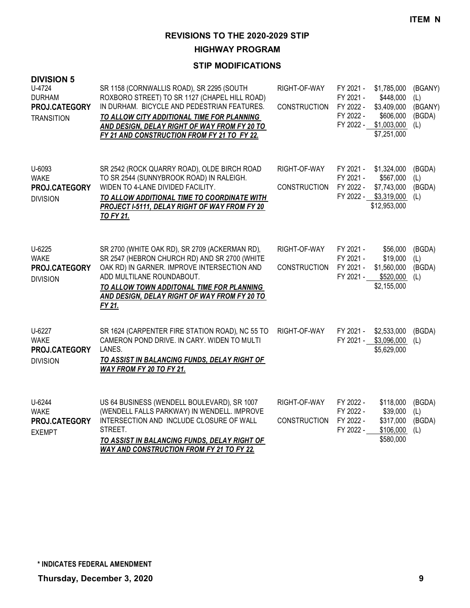**HIGHWAY PROGRAM**

| <b>DIVISION 5</b><br>U-4724<br><b>DURHAM</b><br>PROJ.CATEGORY<br><b>TRANSITION</b> | SR 1158 (CORNWALLIS ROAD), SR 2295 (SOUTH<br>ROXBORO STREET) TO SR 1127 (CHAPEL HILL ROAD)<br>IN DURHAM. BICYCLE AND PEDESTRIAN FEATURES.<br>TO ALLOW CITY ADDITIONAL TIME FOR PLANNING<br>AND DESIGN, DELAY RIGHT OF WAY FROM FY 20 TO<br>FY 21 AND CONSTRUCTION FROM FY 21 TO FY 22. | RIGHT-OF-WAY<br><b>CONSTRUCTION</b> | FY 2021 -<br>FY 2021 -<br>FY 2022 -<br>FY 2022 -<br>FY 2022 - | \$1,785,000<br>\$448,000<br>\$3,409,000<br>\$606,000<br>\$1,003,000<br>\$7,251,000 | (BGANY)<br>(L)<br>(BGANY)<br>(BGDA)<br>(L) |
|------------------------------------------------------------------------------------|----------------------------------------------------------------------------------------------------------------------------------------------------------------------------------------------------------------------------------------------------------------------------------------|-------------------------------------|---------------------------------------------------------------|------------------------------------------------------------------------------------|--------------------------------------------|
| U-6093<br><b>WAKE</b><br>PROJ.CATEGORY<br><b>DIVISION</b>                          | SR 2542 (ROCK QUARRY ROAD), OLDE BIRCH ROAD<br>TO SR 2544 (SUNNYBROOK ROAD) IN RALEIGH.<br>WIDEN TO 4-LANE DIVIDED FACILITY.<br>TO ALLOW ADDITIONAL TIME TO COORDINATE WITH<br>PROJECT I-5111, DELAY RIGHT OF WAY FROM FY 20<br><b>TO FY 21.</b>                                       | RIGHT-OF-WAY<br><b>CONSTRUCTION</b> | FY 2021 -<br>FY 2021 -<br>FY 2022 -<br>FY 2022 -              | \$1,324,000<br>\$567,000<br>\$7,743,000<br>\$3,319,000<br>\$12,953,000             | (BGDA)<br>(L)<br>(BGDA)<br>(L)             |
| U-6225<br><b>WAKE</b><br>PROJ.CATEGORY<br><b>DIVISION</b>                          | SR 2700 (WHITE OAK RD), SR 2709 (ACKERMAN RD),<br>SR 2547 (HEBRON CHURCH RD) AND SR 2700 (WHITE<br>OAK RD) IN GARNER. IMPROVE INTERSECTION AND<br>ADD MULTILANE ROUNDABOUT.<br>TO ALLOW TOWN ADDITONAL TIME FOR PLANNING<br>AND DESIGN, DELAY RIGHT OF WAY FROM FY 20 TO<br>FY 21.     | RIGHT-OF-WAY<br><b>CONSTRUCTION</b> | FY 2021 -<br>FY 2021 -<br>FY 2021 -<br>FY 2021 -              | \$56,000<br>\$19,000<br>\$1,560,000<br>\$520,000<br>\$2,155,000                    | (BGDA)<br>(L)<br>(BGDA)<br>(L)             |
| U-6227<br><b>WAKE</b><br>PROJ.CATEGORY<br><b>DIVISION</b>                          | SR 1624 (CARPENTER FIRE STATION ROAD), NC 55 TO<br>CAMERON POND DRIVE. IN CARY. WIDEN TO MULTI<br>LANES.<br>TO ASSIST IN BALANCING FUNDS, DELAY RIGHT OF<br>WAY FROM FY 20 TO FY 21.                                                                                                   | RIGHT-OF-WAY                        | FY 2021 -<br>FY 2021 -                                        | \$2,533,000<br>\$3,096,000<br>\$5,629,000                                          | (BGDA)<br>(L)                              |
| U-6244<br><b>WAKE</b><br>PROJ.CATEGORY<br><b>EXEMPT</b>                            | US 64 BUSINESS (WENDELL BOULEVARD), SR 1007<br>(WENDELL FALLS PARKWAY) IN WENDELL. IMPROVE<br>INTERSECTION AND INCLUDE CLOSURE OF WALL<br>STREET.<br>TO ASSIST IN BALANCING FUNDS, DELAY RIGHT OF<br><b>WAY AND CONSTRUCTION FROM FY 21 TO FY 22.</b>                                  | RIGHT-OF-WAY<br><b>CONSTRUCTION</b> | FY 2022 -<br>FY 2022 -<br>FY 2022 -<br>FY 2022 -              | \$118,000<br>\$39,000<br>\$317,000<br>\$106,000<br>\$580,000                       | (BGDA)<br>(L)<br>(BGDA)<br>(L)             |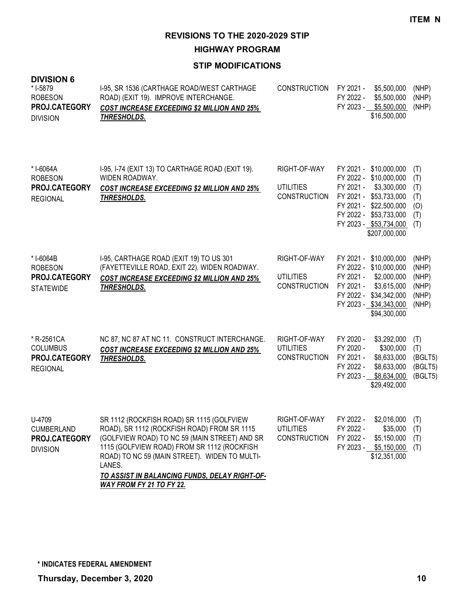**HIGHWAY PROGRAM**

| <b>DIVISION 6</b><br>* I-5879<br><b>ROBESON</b><br>PROJ.CATEGORY<br><b>DIVISION</b> | I-95, SR 1536 (CARTHAGE ROAD/WEST CARTHAGE<br>ROAD) (EXIT 19). IMPROVE INTERCHANGE.<br><b>COST INCREASE EXCEEDING \$2 MILLION AND 25%</b><br>THRESHOLDS.                                                                                                                                                                                | <b>CONSTRUCTION</b>                                     | FY 2021 -<br>FY 2022 -                           | \$5,500,000<br>\$5,500,000<br>FY 2023 - \$5,500,000<br>\$16,500,000                                                                                                                      | (NHP)<br>(NHP)<br>(NHP)                            |
|-------------------------------------------------------------------------------------|-----------------------------------------------------------------------------------------------------------------------------------------------------------------------------------------------------------------------------------------------------------------------------------------------------------------------------------------|---------------------------------------------------------|--------------------------------------------------|------------------------------------------------------------------------------------------------------------------------------------------------------------------------------------------|----------------------------------------------------|
| * I-6064A<br><b>ROBESON</b><br>PROJ.CATEGORY<br><b>REGIONAL</b>                     | I-95, I-74 (EXIT 13) TO CARTHAGE ROAD (EXIT 19).<br>WIDEN ROADWAY.<br><b>COST INCREASE EXCEEDING \$2 MILLION AND 25%</b><br><b>THRESHOLDS.</b>                                                                                                                                                                                          | RIGHT-OF-WAY<br><b>UTILITIES</b><br><b>CONSTRUCTION</b> | FY 2021 -                                        | FY 2021 - \$10,000,000<br>FY 2022 - \$10,000,000<br>\$3,300,000<br>FY 2021 - \$53,733,000<br>FY 2021 - \$22,500,000<br>FY 2022 - \$53,733,000<br>FY 2023 - \$53,734,000<br>\$207,000,000 | (T)<br>(T)<br>(T)<br>(T)<br>(O)<br>(T)<br>(T)      |
| * I-6064B<br><b>ROBESON</b><br>PROJ.CATEGORY<br><b>STATEWIDE</b>                    | I-95, CARTHAGE ROAD (EXIT 19) TO US 301<br>(FAYETTEVILLE ROAD, EXIT 22). WIDEN ROADWAY.<br><b>COST INCREASE EXCEEDING \$2 MILLION AND 25%</b><br>THRESHOLDS.                                                                                                                                                                            | RIGHT-OF-WAY<br><b>UTILITIES</b><br><b>CONSTRUCTION</b> | FY 2021 -<br>FY 2021 -                           | FY 2021 - \$10,000,000<br>FY 2022 - \$10,000,000<br>\$2,000,000<br>\$3,615,000<br>FY 2022 - \$34,342,000<br>FY 2023 - \$34,343,000<br>\$94,300,000                                       | (NHP)<br>(NHP)<br>(NHP)<br>(NHP)<br>(NHP)<br>(NHP) |
| * R-2561CA<br><b>COLUMBUS</b><br>PROJ.CATEGORY<br><b>REGIONAL</b>                   | NC 87, NC 87 AT NC 11. CONSTRUCT INTERCHANGE.<br><b>COST INCREASE EXCEEDING \$2 MILLION AND 25%</b><br><b>THRESHOLDS.</b>                                                                                                                                                                                                               | RIGHT-OF-WAY<br><b>UTILITIES</b><br><b>CONSTRUCTION</b> | FY 2020 -<br>FY 2020 -<br>FY 2021 -<br>FY 2022 - | \$3,292,000<br>\$300,000<br>\$8,633,000<br>\$8,633,000<br>FY 2023 - \$8,634,000<br>\$29,492,000                                                                                          | (T)<br>(T)<br>(BGLT5)<br>(BGLT5)<br>(BGLT5)        |
| U-4709<br><b>CUMBERLAND</b><br>PROJ.CATEGORY<br><b>DIVISION</b>                     | SR 1112 (ROCKFISH ROAD) SR 1115 (GOLFVIEW<br>ROAD), SR 1112 (ROCKFISH ROAD) FROM SR 1115<br>(GOLFVIEW ROAD) TO NC 59 (MAIN STREET) AND SR<br>1115 (GOLFVIEW ROAD) FROM SR 1112 (ROCKFISH<br>ROAD) TO NC 59 (MAIN STREET). WIDEN TO MULTI-<br>LANES.<br><u>TO ASSIST IN BALANCING FUNDS, DELAY RIGHT-OF-</u><br>WAY FROM FY 21 TO FY 22. | RIGHT-OF-WAY<br><b>UTILITIES</b><br><b>CONSTRUCTION</b> | FY 2022 -<br>FY 2022 -<br>FY 2022 -              | $$2,016,000$ (T)<br>\$35,000<br>\$5,150,000<br>FY 2023 - \$5,150,000<br>\$12,351,000                                                                                                     | (T)<br>(T)<br>(T)                                  |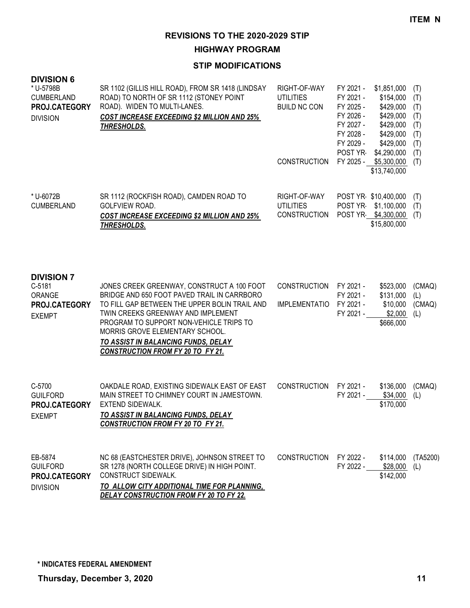**HIGHWAY PROGRAM**

## **STIP MODIFICATIONS**

| <b>DIVISION 6</b><br>* U-5798B<br><b>CUMBERLAND</b><br>PROJ.CATEGORY<br><b>DIVISION</b> | SR 1102 (GILLIS HILL ROAD), FROM SR 1418 (LINDSAY<br>ROAD) TO NORTH OF SR 1112 (STONEY POINT<br>ROAD). WIDEN TO MULTI-LANES.<br><b>COST INCREASE EXCEEDING \$2 MILLION AND 25%</b><br><b>THRESHOLDS.</b>                                                                                                                                          | RIGHT-OF-WAY<br><b>UTILITIES</b><br><b>BUILD NC CON</b> | FY 2021 -<br>\$1,851,000<br>FY 2021 -<br>\$154,000<br>FY 2025 -<br>\$429,000<br>FY 2026 -<br>\$429,000<br>FY 2027 -<br>\$429,000<br>FY 2028 -<br>\$429,000<br>FY 2029 -<br>\$429,000<br><b>POST YR</b><br>\$4,290,000 | (T)<br>(T)<br>(T)<br>(T)<br>(T)<br>(T)<br>(T)<br>(T) |
|-----------------------------------------------------------------------------------------|---------------------------------------------------------------------------------------------------------------------------------------------------------------------------------------------------------------------------------------------------------------------------------------------------------------------------------------------------|---------------------------------------------------------|-----------------------------------------------------------------------------------------------------------------------------------------------------------------------------------------------------------------------|------------------------------------------------------|
|                                                                                         |                                                                                                                                                                                                                                                                                                                                                   | <b>CONSTRUCTION</b>                                     | FY 2025 -<br>\$5,300,000<br>\$13,740,000                                                                                                                                                                              | (T)                                                  |
| * U-6072B<br><b>CUMBERLAND</b>                                                          | SR 1112 (ROCKFISH ROAD), CAMDEN ROAD TO<br>GOLFVIEW ROAD.<br><b>COST INCREASE EXCEEDING \$2 MILLION AND 25%</b><br>THRESHOLDS.                                                                                                                                                                                                                    | RIGHT-OF-WAY<br><b>UTILITIES</b><br><b>CONSTRUCTION</b> | POST YR \$10,400,000<br>POST YR \$1,100,000<br>POST YR \$4,300,000<br>\$15,800,000                                                                                                                                    | (T)<br>(T)<br>(T)                                    |
| <b>DIVISION 7</b><br>C-5181<br>ORANGE<br>PROJ.CATEGORY<br><b>EXEMPT</b>                 | JONES CREEK GREENWAY, CONSTRUCT A 100 FOOT<br>BRIDGE AND 650 FOOT PAVED TRAIL IN CARRBORO<br>TO FILL GAP BETWEEN THE UPPER BOLIN TRAIL AND<br>TWIN CREEKS GREENWAY AND IMPLEMENT<br>PROGRAM TO SUPPORT NON-VEHICLE TRIPS TO<br>MORRIS GROVE ELEMENTARY SCHOOL.<br>TO ASSIST IN BALANCING FUNDS, DELAY<br><b>CONSTRUCTION FROM FY 20 TO FY 21.</b> | <b>CONSTRUCTION</b><br><b>IMPLEMENTATIO</b>             | FY 2021 -<br>\$523,000<br>\$131,000<br>FY 2021 -<br>FY 2021 -<br>\$10,000<br>FY 2021 -<br>\$2,000<br>\$666,000                                                                                                        | (CMAQ)<br>(L)<br>(CMAQ)<br>(L)                       |
| C-5700<br><b>GUILFORD</b><br>PROJ.CATEGORY<br><b>EXEMPT</b>                             | OAKDALE ROAD, EXISTING SIDEWALK EAST OF EAST<br>MAIN STREET TO CHIMNEY COURT IN JAMESTOWN.<br><b>EXTEND SIDEWALK.</b><br>TO ASSIST IN BALANCING FUNDS, DELAY<br><b>CONSTRUCTION FROM FY 20 TO FY 21.</b>                                                                                                                                          | <b>CONSTRUCTION</b>                                     | FY 2021 -<br>\$136,000<br>FY 2021 -<br>\$34,000<br>\$170,000                                                                                                                                                          | (CMAQ)<br>(L)                                        |
| EB-5874<br><b>GUILFORD</b><br>PROJ.CATEGORY<br><b>DIVISION</b>                          | NC 68 (EASTCHESTER DRIVE), JOHNSON STREET TO<br>SR 1278 (NORTH COLLEGE DRIVE) IN HIGH POINT.<br>CONSTRUCT SIDEWALK.<br><u>TO ALLOW CITY ADDITIONAL TIME FOR PLANNING,</u><br>DELAY CONSTRUCTION FROM FY 20 TO FY 22.                                                                                                                              | <b>CONSTRUCTION</b>                                     | FY 2022 -<br>\$114,000<br>FY 2022 -<br>\$28,000<br>\$142,000                                                                                                                                                          | (TA5200)<br>(L)                                      |

**\* INDICATES FEDERAL AMENDMENT**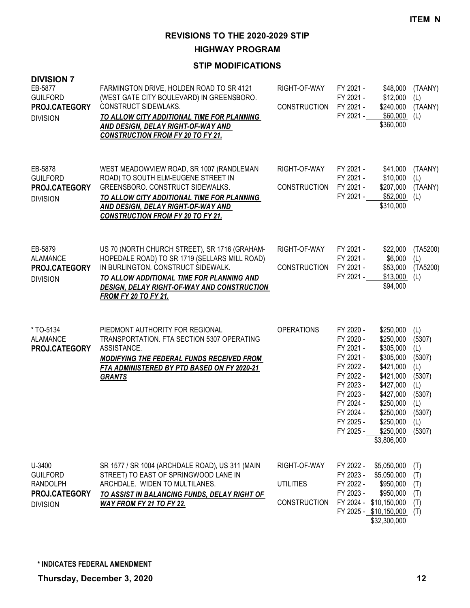**HIGHWAY PROGRAM**

| <b>DIVISION 7</b><br>EB-5877<br><b>GUILFORD</b><br>PROJ.CATEGORY<br><b>DIVISION</b> | FARMINGTON DRIVE, HOLDEN ROAD TO SR 4121<br>(WEST GATE CITY BOULEVARD) IN GREENSBORO.<br>CONSTRUCT SIDEWLAKS.<br>TO ALLOW CITY ADDITIONAL TIME FOR PLANNING<br>AND DESIGN, DELAY RIGHT-OF-WAY AND<br><b>CONSTRUCTION FROM FY 20 TO FY 21.</b>                          | RIGHT-OF-WAY<br>CONSTRUCTION                     | FY 2021 -<br>\$48,000<br>FY 2021 -<br>\$12,000<br>FY 2021 -<br>\$240,000<br>FY 2021 -<br>\$60,000<br>\$360,000                                                                                                                                                                                                                      | (TAANY)<br>(L)<br>(TAANY)<br>(L)                                                                   |
|-------------------------------------------------------------------------------------|------------------------------------------------------------------------------------------------------------------------------------------------------------------------------------------------------------------------------------------------------------------------|--------------------------------------------------|-------------------------------------------------------------------------------------------------------------------------------------------------------------------------------------------------------------------------------------------------------------------------------------------------------------------------------------|----------------------------------------------------------------------------------------------------|
| EB-5878<br><b>GUILFORD</b><br>PROJ.CATEGORY<br><b>DIVISION</b>                      | WEST MEADOWVIEW ROAD, SR 1007 (RANDLEMAN<br>ROAD) TO SOUTH ELM-EUGENE STREET IN<br>GREENSBORO. CONSTRUCT SIDEWALKS.<br>TO ALLOW CITY ADDITIONAL TIME FOR PLANNING<br>AND DESIGN, DELAY RIGHT-OF-WAY AND<br><b>CONSTRUCTION FROM FY 20 TO FY 21.</b>                    | RIGHT-OF-WAY<br><b>CONSTRUCTION</b>              | FY 2021 -<br>\$41,000<br>FY 2021 -<br>\$10,000<br>FY 2021 -<br>\$207,000<br>FY 2021 -<br>\$52,000<br>\$310,000                                                                                                                                                                                                                      | (TAANY)<br>(L)<br>(TAANY)<br>(L)                                                                   |
| EB-5879<br><b>ALAMANCE</b><br>PROJ.CATEGORY<br><b>DIVISION</b>                      | US 70 (NORTH CHURCH STREET), SR 1716 (GRAHAM-<br>HOPEDALE ROAD) TO SR 1719 (SELLARS MILL ROAD)<br>IN BURLINGTON. CONSTRUCT SIDEWALK.<br>TO ALLOW ADDITIONAL TIME FOR PLANNING AND<br><b>DESIGN, DELAY RIGHT-OF-WAY AND CONSTRUCTION</b><br><b>FROM FY 20 TO FY 21.</b> | RIGHT-OF-WAY<br><b>CONSTRUCTION</b>              | FY 2021 -<br>\$22,000<br>\$6,000<br>FY 2021 -<br>FY 2021 -<br>\$53,000<br>FY 2021 -<br>\$13,000<br>\$94,000                                                                                                                                                                                                                         | (TA5200)<br>(L)<br>(TA5200)<br>(L)                                                                 |
| *TO-5134<br><b>ALAMANCE</b><br>PROJ.CATEGORY                                        | PIEDMONT AUTHORITY FOR REGIONAL<br>TRANSPORTATION. FTA SECTION 5307 OPERATING<br>ASSISTANCE.<br><b>MODIFYING THE FEDERAL FUNDS RECEIVED FROM</b><br>FTA ADMINISTERED BY PTD BASED ON FY 2020-21<br><b>GRANTS</b>                                                       | <b>OPERATIONS</b>                                | FY 2020 -<br>\$250,000<br>FY 2020 -<br>\$250,000<br>FY 2021 -<br>\$305,000<br>FY 2021 -<br>\$305,000<br>FY 2022 -<br>\$421,000<br>FY 2022 -<br>\$421,000<br>FY 2023 -<br>\$427,000<br>FY 2023 -<br>\$427,000<br>FY 2024 -<br>\$250,000<br>FY 2024 -<br>\$250,000<br>FY 2025 -<br>\$250,000<br>FY 2025 -<br>\$250,000<br>\$3,806,000 | (L)<br>(5307)<br>(L)<br>(5307)<br>(L)<br>(5307)<br>(L)<br>(5307)<br>(L)<br>(5307)<br>(L)<br>(5307) |
| U-3400<br><b>GUILFORD</b><br><b>RANDOLPH</b><br>PROJ.CATEGORY<br><b>DIVISION</b>    | SR 1577 / SR 1004 (ARCHDALE ROAD), US 311 (MAIN<br>STREET) TO EAST OF SPRINGWOOD LANE IN<br>ARCHDALE. WIDEN TO MULTILANES.<br>TO ASSIST IN BALANCING FUNDS, DELAY RIGHT OF<br><b>WAY FROM FY 21 TO FY 22.</b>                                                          | RIGHT-OF-WAY<br><b>UTILITIES</b><br>CONSTRUCTION | FY 2022 -<br>\$5,050,000<br>FY 2023 -<br>\$5,050,000<br>FY 2022 -<br>\$950,000<br>FY 2023 -<br>\$950,000<br>FY 2024 - \$10,150,000<br>FY 2025 - \$10,150,000<br>\$32,300,000                                                                                                                                                        | (T)<br>(T)<br>(T)<br>(T)<br>(T)<br>(T)                                                             |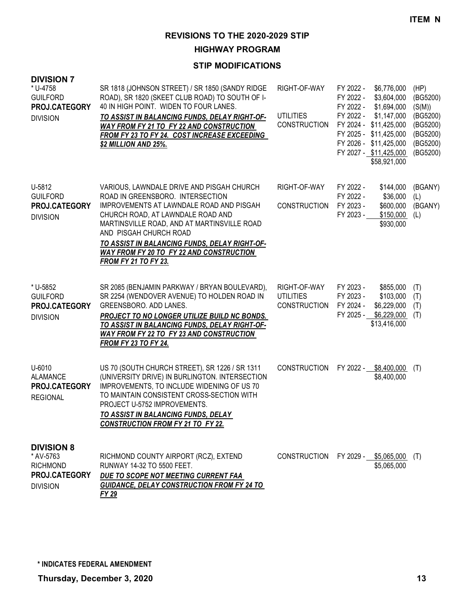**HIGHWAY PROGRAM**

| <b>DIVISION 7</b><br>* U-4758<br><b>GUILFORD</b><br>PROJ.CATEGORY<br><b>DIVISION</b>  | SR 1818 (JOHNSON STREET) / SR 1850 (SANDY RIDGE<br>ROAD), SR 1820 (SKEET CLUB ROAD) TO SOUTH OF I-<br>40 IN HIGH POINT. WIDEN TO FOUR LANES.<br>TO ASSIST IN BALANCING FUNDS, DELAY RIGHT-OF-<br>WAY FROM FY 21 TO FY 22 AND CONSTRUCTION<br>FROM FY 23 TO FY 24. COST INCREASE EXCEEDING<br>\$2 MILLION AND 25%.                                                   | RIGHT-OF-WAY<br><b>UTILITIES</b><br><b>CONSTRUCTION</b> | FY 2022 -<br>\$6,776,000<br>FY 2022 -<br>\$3,604,000<br>FY 2022 -<br>\$1,694,000<br>FY 2022 -<br>\$1,147,000<br>FY 2024 - \$11,425,000<br>FY 2025 - \$11,425,000<br>FY 2026 - \$11,425,000<br>FY 2027 - \$11,425,000<br>\$58,921,000 | (HP)<br>(BG5200)<br>(S(M))<br>(BG5200)<br>(BG5200)<br>(BG5200)<br>(BG5200)<br>(BG5200) |
|---------------------------------------------------------------------------------------|---------------------------------------------------------------------------------------------------------------------------------------------------------------------------------------------------------------------------------------------------------------------------------------------------------------------------------------------------------------------|---------------------------------------------------------|--------------------------------------------------------------------------------------------------------------------------------------------------------------------------------------------------------------------------------------|----------------------------------------------------------------------------------------|
| U-5812<br><b>GUILFORD</b><br>PROJ.CATEGORY<br><b>DIVISION</b>                         | VARIOUS, LAWNDALE DRIVE AND PISGAH CHURCH<br>ROAD IN GREENSBORO. INTERSECTION<br>IMPROVEMENTS AT LAWNDALE ROAD AND PISGAH<br>CHURCH ROAD, AT LAWNDALE ROAD AND<br>MARTINSVILLE ROAD, AND AT MARTINSVILLE ROAD<br>AND PISGAH CHURCH ROAD<br>TO ASSIST IN BALANCING FUNDS, DELAY RIGHT-OF-<br>WAY FROM FY 20 TO FY 22 AND CONSTRUCTION<br><b>FROM FY 21 TO FY 23.</b> | RIGHT-OF-WAY<br><b>CONSTRUCTION</b>                     | FY 2022 -<br>\$144,000<br>FY 2022 -<br>\$36,000<br>FY 2023 -<br>\$600,000<br>FY 2023 -<br>\$150,000<br>\$930,000                                                                                                                     | (BGANY)<br>(L)<br>(BGANY)<br>(L)                                                       |
| * U-5852<br><b>GUILFORD</b><br>PROJ.CATEGORY<br><b>DIVISION</b>                       | SR 2085 (BENJAMIN PARKWAY / BRYAN BOULEVARD),<br>SR 2254 (WENDOVER AVENUE) TO HOLDEN ROAD IN<br>GREENSBORO. ADD LANES.<br>PROJECT TO NO LONGER UTILIZE BUILD NC BONDS.<br>TO ASSIST IN BALANCING FUNDS, DELAY RIGHT-OF-<br><b>WAY FROM FY 22 TO FY 23 AND CONSTRUCTION</b><br><b>FROM FY 23 TO FY 24.</b>                                                           | RIGHT-OF-WAY<br><b>UTILITIES</b><br><b>CONSTRUCTION</b> | FY 2023 -<br>\$855,000<br>FY 2023 -<br>\$103,000<br>FY 2024 -<br>\$6,229,000<br>FY 2025 -<br>\$6,229,000<br>\$13,416,000                                                                                                             | (T)<br>(T)<br>(T)<br>(T)                                                               |
| U-6010<br><b>ALAMANCE</b><br>PROJ.CATEGORY<br><b>REGIONAL</b>                         | US 70 (SOUTH CHURCH STREET), SR 1226 / SR 1311<br>(UNIVERSITY DRIVE) IN BURLINGTON. INTERSECTION<br>IMPROVEMENTS, TO INCLUDE WIDENING OF US 70<br>TO MAINTAIN CONSISTENT CROSS-SECTION WITH<br>PROJECT U-5752 IMPROVEMENTS.<br>TO ASSIST IN BALANCING FUNDS, DELAY<br><b>CONSTRUCTION FROM FY 21 TO FY 22.</b>                                                      | <b>CONSTRUCTION</b>                                     | FY 2022 -<br>\$8,400,000<br>\$8,400,000                                                                                                                                                                                              | (T)                                                                                    |
| <b>DIVISION 8</b><br>* AV-5763<br><b>RICHMOND</b><br>PROJ.CATEGORY<br><b>DIVISION</b> | RICHMOND COUNTY AIRPORT (RCZ), EXTEND<br>RUNWAY 14-32 TO 5500 FEET.<br>DUE TO SCOPE NOT MEETING CURRENT FAA<br><b>GUIDANCE, DELAY CONSTRUCTION FROM FY 24 TO</b><br>FY 29                                                                                                                                                                                           |                                                         | CONSTRUCTION FY 2029 - \$5,065,000<br>\$5,065,000                                                                                                                                                                                    | (T)                                                                                    |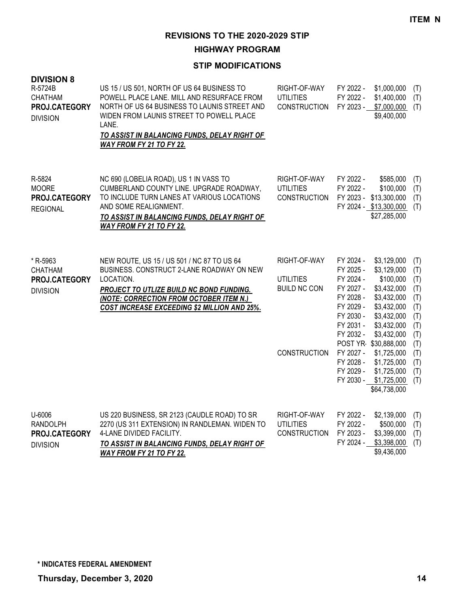**HIGHWAY PROGRAM**

| <b>DIVISION 8</b><br>R-5724B<br><b>CHATHAM</b><br>PROJ.CATEGORY<br><b>DIVISION</b> | US 15 / US 501, NORTH OF US 64 BUSINESS TO<br>POWELL PLACE LANE. MILL AND RESURFACE FROM<br>NORTH OF US 64 BUSINESS TO LAUNIS STREET AND<br>WIDEN FROM LAUNIS STREET TO POWELL PLACE<br>LANE.<br>TO ASSIST IN BALANCING FUNDS, DELAY RIGHT OF<br>WAY FROM FY 21 TO FY 22. | RIGHT-OF-WAY<br><b>UTILITIES</b><br><b>CONSTRUCTION</b>                        | FY 2022 -<br>FY 2022 -<br>FY 2023 -                                                                                                                                   | \$1,000,000<br>\$1,400,000<br>\$7,000,000<br>\$9,400,000                                                                                                                                                                              | (T)<br>(T)<br>(T)                                                                              |
|------------------------------------------------------------------------------------|---------------------------------------------------------------------------------------------------------------------------------------------------------------------------------------------------------------------------------------------------------------------------|--------------------------------------------------------------------------------|-----------------------------------------------------------------------------------------------------------------------------------------------------------------------|---------------------------------------------------------------------------------------------------------------------------------------------------------------------------------------------------------------------------------------|------------------------------------------------------------------------------------------------|
| R-5824<br><b>MOORE</b><br>PROJ.CATEGORY<br><b>REGIONAL</b>                         | NC 690 (LOBELIA ROAD), US 1 IN VASS TO<br>CUMBERLAND COUNTY LINE. UPGRADE ROADWAY,<br>TO INCLUDE TURN LANES AT VARIOUS LOCATIONS<br>AND SOME REALIGNMENT.<br>TO ASSIST IN BALANCING FUNDS, DELAY RIGHT OF<br>WAY FROM FY 21 TO FY 22.                                     | RIGHT-OF-WAY<br><b>UTILITIES</b><br><b>CONSTRUCTION</b>                        | FY 2022 -<br>FY 2022 -                                                                                                                                                | \$585,000<br>\$100,000<br>FY 2023 - \$13,300,000<br>FY 2024 - \$13,300,000<br>\$27,285,000                                                                                                                                            | (T)<br>(T)<br>(T)<br>(T)                                                                       |
| * R-5963<br><b>CHATHAM</b><br>PROJ.CATEGORY<br><b>DIVISION</b>                     | NEW ROUTE, US 15 / US 501 / NC 87 TO US 64<br>BUSINESS. CONSTRUCT 2-LANE ROADWAY ON NEW<br>LOCATION.<br>PROJECT TO UTLIZE BUILD NC BOND FUNDING.<br>(NOTE: CORRECTION FROM OCTOBER ITEM N.)<br>COST INCREASE EXCEEDING \$2 MILLION AND 25%.                               | RIGHT-OF-WAY<br><b>UTILITIES</b><br><b>BUILD NC CON</b><br><b>CONSTRUCTION</b> | FY 2024 -<br>FY 2025 -<br>FY 2024 -<br>FY 2027 -<br>FY 2028 -<br>FY 2029 -<br>FY 2030 -<br>FY 2031 -<br>FY 2032 -<br>FY 2027 -<br>FY 2028 -<br>FY 2029 -<br>FY 2030 - | \$3,129,000<br>\$3,129,000<br>\$100,000<br>\$3,432,000<br>\$3,432,000<br>\$3,432,000<br>\$3,432,000<br>\$3,432,000<br>\$3,432,000<br>POST YR \$30,888,000<br>\$1,725,000<br>\$1,725,000<br>\$1,725,000<br>\$1,725,000<br>\$64,738,000 | (T)<br>(T)<br>(T)<br>(T)<br>(T)<br>(T)<br>(T)<br>(T)<br>(T)<br>(T)<br>(T)<br>(T)<br>(T)<br>(T) |
| U-6006<br><b>RANDOLPH</b><br>PROJ.CATEGORY<br><b>DIVISION</b>                      | US 220 BUSINESS, SR 2123 (CAUDLE ROAD) TO SR<br>2270 (US 311 EXTENSION) IN RANDLEMAN. WIDEN TO<br>4-LANE DIVIDED FACILITY.<br>TO ASSIST IN BALANCING FUNDS, DELAY RIGHT OF<br>WAY FROM FY 21 TO FY 22.                                                                    | RIGHT-OF-WAY<br><b>UTILITIES</b><br><b>CONSTRUCTION</b>                        | FY 2022 -<br>FY 2022 -<br>FY 2023 -<br>FY 2024 -                                                                                                                      | \$2,139,000<br>\$500,000<br>\$3,399,000<br>\$3,398,000<br>\$9,436,000                                                                                                                                                                 | (T)<br>(T)<br>(T)<br>(T)                                                                       |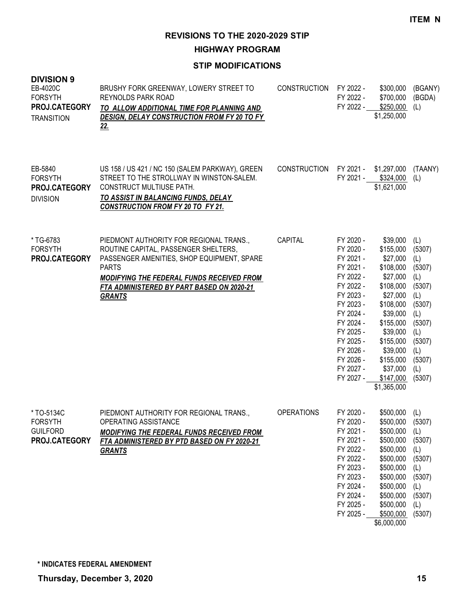**HIGHWAY PROGRAM**

| <b>DIVISION 9</b><br>EB-4020C<br><b>FORSYTH</b><br>PROJ.CATEGORY<br><b>TRANSITION</b> | BRUSHY FORK GREENWAY, LOWERY STREET TO<br>REYNOLDS PARK ROAD<br>TO ALLOW ADDITIONAL TIME FOR PLANNING AND<br>DESIGN, DELAY CONSTRUCTION FROM FY 20 TO FY<br><u>22.</u>                                                                                   | <b>CONSTRUCTION</b> | FY 2022 -<br>FY 2022 -<br>FY 2022 -                                                                                                                                                                          | \$300,000<br>\$700,000<br>\$250,000<br>\$1,250,000                                                                                                                                                                  | (BGANY)<br>(BGDA)<br>(L)                                                                                                             |
|---------------------------------------------------------------------------------------|----------------------------------------------------------------------------------------------------------------------------------------------------------------------------------------------------------------------------------------------------------|---------------------|--------------------------------------------------------------------------------------------------------------------------------------------------------------------------------------------------------------|---------------------------------------------------------------------------------------------------------------------------------------------------------------------------------------------------------------------|--------------------------------------------------------------------------------------------------------------------------------------|
| EB-5840<br><b>FORSYTH</b><br>PROJ.CATEGORY<br><b>DIVISION</b>                         | US 158 / US 421 / NC 150 (SALEM PARKWAY), GREEN<br>STREET TO THE STROLLWAY IN WINSTON-SALEM.<br><b>CONSTRUCT MULTIUSE PATH.</b><br>TO ASSIST IN BALANCING FUNDS, DELAY<br><b>CONSTRUCTION FROM FY 20 TO FY 21.</b>                                       | <b>CONSTRUCTION</b> | FY 2021 -                                                                                                                                                                                                    | \$1,297,000<br>FY 2021 - \$324,000<br>\$1,621,000                                                                                                                                                                   | (TAANY)<br>(L)                                                                                                                       |
| *TG-6783<br><b>FORSYTH</b><br>PROJ.CATEGORY                                           | PIEDMONT AUTHORITY FOR REGIONAL TRANS.,<br>ROUTINE CAPITAL, PASSENGER SHELTERS,<br>PASSENGER AMENITIES, SHOP EQUIPMENT, SPARE<br><b>PARTS</b><br>MODIFYING THE FEDERAL FUNDS RECEIVED FROM<br>FTA ADMINISTERED BY PART BASED ON 2020-21<br><b>GRANTS</b> | CAPITAL             | FY 2020 -<br>FY 2020 -<br>FY 2021 -<br>FY 2021 -<br>FY 2022 -<br>FY 2022 -<br>FY 2023 -<br>FY 2023 -<br>FY 2024 -<br>FY 2024 -<br>FY 2025 -<br>FY 2025 -<br>FY 2026 -<br>FY 2026 -<br>FY 2027 -<br>FY 2027 - | \$39,000<br>\$155,000<br>\$27,000<br>\$108,000<br>\$27,000<br>\$108,000<br>\$27,000<br>\$108,000<br>\$39,000<br>\$155,000<br>\$39,000<br>\$155,000<br>\$39,000<br>\$155,000<br>\$37,000<br>\$147,000<br>\$1,365,000 | (L)<br>(5307)<br>(L)<br>(5307)<br>(L)<br>(5307)<br>(L)<br>(5307)<br>(L)<br>(5307)<br>(L)<br>(5307)<br>(L)<br>(5307)<br>(L)<br>(5307) |
| *TO-5134C<br><b>FORSYTH</b><br><b>GUILFORD</b><br>PROJ.CATEGORY                       | PIEDMONT AUTHORITY FOR REGIONAL TRANS.,<br>OPERATING ASSISTANCE<br>MODIFYING THE FEDERAL FUNDS RECEIVED FROM<br>FTA ADMINISTERED BY PTD BASED ON FY 2020-21<br><b>GRANTS</b>                                                                             | <b>OPERATIONS</b>   | FY 2020 -<br>FY 2020 -<br>FY 2021 -<br>FY 2021 -<br>FY 2022 -<br>FY 2022 -<br>FY 2023 -<br>FY 2023 -<br>FY 2024 -<br>FY 2024 -<br>FY 2025 -<br>FY 2025 -                                                     | \$500,000<br>\$500,000<br>\$500,000<br>\$500,000<br>\$500,000<br>\$500,000<br>\$500,000<br>\$500,000<br>\$500,000<br>\$500,000<br>\$500,000<br>\$500,000<br>\$6,000,000                                             | (L)<br>(5307)<br>(L)<br>(5307)<br>(L)<br>(5307)<br>(L)<br>(5307)<br>(L)<br>(5307)<br>(L)<br>(5307)                                   |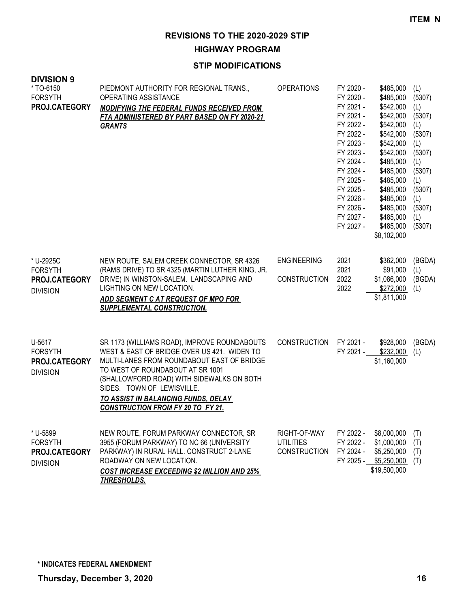**HIGHWAY PROGRAM**

| <b>DIVISION 9</b><br>*TO-6150<br><b>FORSYTH</b><br>PROJ.CATEGORY | PIEDMONT AUTHORITY FOR REGIONAL TRANS.,<br>OPERATING ASSISTANCE<br><b>MODIFYING THE FEDERAL FUNDS RECEIVED FROM</b><br>FTA ADMINISTERED BY PART BASED ON FY 2020-21<br><b>GRANTS</b>                                                                                                                                                        | <b>OPERATIONS</b>                                       | FY 2020 -<br>FY 2020 -<br>FY 2021 -<br>FY 2021 -<br>FY 2022 -<br>FY 2022 -<br>FY 2023 -<br>FY 2023 -<br>FY 2024 -<br>FY 2024 -<br>FY 2025 -<br>FY 2025 -<br>FY 2026 -<br>FY 2026 -<br>FY 2027 -<br>FY 2027 - | \$485,000<br>\$485,000<br>\$542,000<br>\$542,000<br>\$542,000<br>\$542,000<br>\$542,000<br>\$542,000<br>\$485,000<br>\$485,000<br>\$485,000<br>\$485,000<br>\$485,000<br>\$485,000<br>\$485,000<br>\$485,000<br>\$8,102,000 | (L)<br>(5307)<br>(L)<br>(5307)<br>(L)<br>(5307)<br>(L)<br>(5307)<br>(L)<br>(5307)<br>(L)<br>(5307)<br>(L)<br>(5307)<br>(L)<br>(5307) |
|------------------------------------------------------------------|---------------------------------------------------------------------------------------------------------------------------------------------------------------------------------------------------------------------------------------------------------------------------------------------------------------------------------------------|---------------------------------------------------------|--------------------------------------------------------------------------------------------------------------------------------------------------------------------------------------------------------------|-----------------------------------------------------------------------------------------------------------------------------------------------------------------------------------------------------------------------------|--------------------------------------------------------------------------------------------------------------------------------------|
| * U-2925C<br><b>FORSYTH</b><br>PROJ.CATEGORY<br><b>DIVISION</b>  | NEW ROUTE, SALEM CREEK CONNECTOR, SR 4326<br>(RAMS DRIVE) TO SR 4325 (MARTIN LUTHER KING, JR.<br>DRIVE) IN WINSTON-SALEM. LANDSCAPING AND<br>LIGHTING ON NEW LOCATION.<br>ADD SEGMENT C AT REQUEST OF MPO FOR<br><b>SUPPLEMENTAL CONSTRUCTION.</b>                                                                                          | <b>ENGINEERING</b><br><b>CONSTRUCTION</b>               | 2021<br>2021<br>2022<br>2022                                                                                                                                                                                 | \$362,000<br>\$91,000<br>\$1,086,000<br>\$272,000<br>\$1,811,000                                                                                                                                                            | (BGDA)<br>(L)<br>(BGDA)<br>(L)                                                                                                       |
| U-5617<br><b>FORSYTH</b><br>PROJ.CATEGORY<br><b>DIVISION</b>     | SR 1173 (WILLIAMS ROAD), IMPROVE ROUNDABOUTS<br>WEST & EAST OF BRIDGE OVER US 421. WIDEN TO<br>MULTI-LANES FROM ROUNDABOUT EAST OF BRIDGE<br>TO WEST OF ROUNDABOUT AT SR 1001<br>(SHALLOWFORD ROAD) WITH SIDEWALKS ON BOTH<br>SIDES. TOWN OF LEWISVILLE.<br>TO ASSIST IN BALANCING FUNDS, DELAY<br><b>CONSTRUCTION FROM FY 20 TO FY 21.</b> | <b>CONSTRUCTION</b>                                     | FY 2021 -<br>FY 2021 -                                                                                                                                                                                       | \$928,000<br>\$232,000<br>\$1,160,000                                                                                                                                                                                       | (BGDA)<br>(L)                                                                                                                        |
| * U-5899<br><b>FORSYTH</b><br>PROJ.CATEGORY<br><b>DIVISION</b>   | NEW ROUTE, FORUM PARKWAY CONNECTOR, SR<br>3955 (FORUM PARKWAY) TO NC 66 (UNIVERSITY<br>PARKWAY) IN RURAL HALL. CONSTRUCT 2-LANE<br>ROADWAY ON NEW LOCATION.<br><b>COST INCREASE EXCEEDING \$2 MILLION AND 25%</b><br>THRESHOLDS.                                                                                                            | RIGHT-OF-WAY<br><b>UTILITIES</b><br><b>CONSTRUCTION</b> | FY 2022 -<br>FY 2022 -<br>FY 2024 -<br>FY 2025 -                                                                                                                                                             | \$8,000,000<br>\$1,000,000<br>\$5,250,000<br>\$5,250,000<br>\$19,500,000                                                                                                                                                    | (T)<br>(T)<br>(T)<br>(T)                                                                                                             |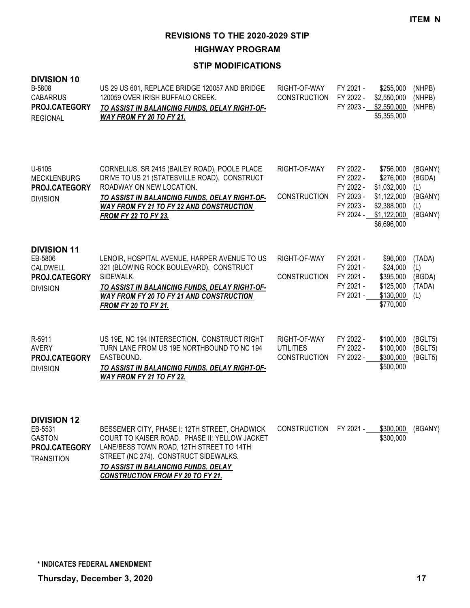**HIGHWAY PROGRAM**

### **STIP MODIFICATIONS**

| <b>DIVISION 10</b><br>B-5808<br><b>CABARRUS</b><br>PROJ.CATEGORY<br><b>REGIONAL</b>  | US 29 US 601, REPLACE BRIDGE 120057 AND BRIDGE<br>120059 OVER IRISH BUFFALO CREEK.<br>TO ASSIST IN BALANCING FUNDS, DELAY RIGHT-OF-<br><b>WAY FROM FY 20 TO FY 21.</b>                                                                                | RIGHT-OF-WAY<br><b>CONSTRUCTION</b>                     | FY 2021 -<br>FY 2022 -                                                     | \$255,000<br>\$2,550,000<br>FY 2023 - \$2,550,000<br>\$5,355,000                                  | (NHPB)<br>(NHPB)<br>(NHPB)                            |
|--------------------------------------------------------------------------------------|-------------------------------------------------------------------------------------------------------------------------------------------------------------------------------------------------------------------------------------------------------|---------------------------------------------------------|----------------------------------------------------------------------------|---------------------------------------------------------------------------------------------------|-------------------------------------------------------|
| U-6105<br><b>MECKLENBURG</b><br>PROJ.CATEGORY<br><b>DIVISION</b>                     | CORNELIUS, SR 2415 (BAILEY ROAD), POOLE PLACE<br>DRIVE TO US 21 (STATESVILLE ROAD). CONSTRUCT<br>ROADWAY ON NEW LOCATION.<br>TO ASSIST IN BALANCING FUNDS, DELAY RIGHT-OF-<br>WAY FROM FY 21 TO FY 22 AND CONSTRUCTION<br><b>FROM FY 22 TO FY 23.</b> | RIGHT-OF-WAY<br><b>CONSTRUCTION</b>                     | FY 2022 -<br>FY 2022 -<br>FY 2022 -<br>FY 2023 -<br>FY 2023 -<br>FY 2024 - | \$756,000<br>\$276,000<br>\$1,032,000<br>\$1,122,000<br>\$2,388,000<br>\$1,122,000<br>\$6,696,000 | (BGANY)<br>(BGDA)<br>(L)<br>(BGANY)<br>(L)<br>(BGANY) |
| <b>DIVISION 11</b><br>EB-5806<br>CALDWELL<br>PROJ.CATEGORY<br><b>DIVISION</b>        | LENOIR, HOSPITAL AVENUE, HARPER AVENUE TO US<br>321 (BLOWING ROCK BOULEVARD). CONSTRUCT<br>SIDEWALK.<br>TO ASSIST IN BALANCING FUNDS, DELAY RIGHT-OF-<br><b>WAY FROM FY 20 TO FY 21 AND CONSTRUCTION</b><br><b>FROM FY 20 TO FY 21.</b>               | RIGHT-OF-WAY<br><b>CONSTRUCTION</b>                     | FY 2021 -<br>FY 2021 -<br>FY 2021 -<br>FY 2021 -<br>FY 2021 -              | \$96,000<br>\$24,000<br>\$395,000<br>\$125,000<br>\$130,000<br>\$770,000                          | (TADA)<br>(L)<br>(BGDA)<br>(TADA)<br>(L)              |
| R-5911<br><b>AVERY</b><br>PROJ.CATEGORY<br><b>DIVISION</b>                           | US 19E, NC 194 INTERSECTION. CONSTRUCT RIGHT<br>TURN LANE FROM US 19E NORTHBOUND TO NC 194<br>EASTBOUND.<br>TO ASSIST IN BALANCING FUNDS, DELAY RIGHT-OF-<br>WAY FROM FY 21 TO FY 22.                                                                 | RIGHT-OF-WAY<br><b>UTILITIES</b><br><b>CONSTRUCTION</b> | FY 2022 -<br>FY 2022 -<br>FY 2022 -                                        | \$100,000<br>\$100,000<br>\$300,000<br>\$500,000                                                  | (BGLT5)<br>(BGLT5)<br>(BGLT5)                         |
| <b>DIVISION 12</b><br>EB-5531<br><b>GASTON</b><br>PROJ.CATEGORY<br><b>TRANSITION</b> | BESSEMER CITY, PHASE I: 12TH STREET, CHADWICK<br>COURT TO KAISER ROAD. PHASE II: YELLOW JACKET<br>LANE/BESS TOWN ROAD, 12TH STREET TO 14TH<br>STREET (NC 274). CONSTRUCT SIDEWALKS.                                                                   | <b>CONSTRUCTION</b>                                     | FY 2021 -                                                                  | \$300,000<br>\$300,000                                                                            | (BGANY)                                               |

*TO ASSIST IN BALANCING FUNDS, DELAY CONSTRUCTION FROM FY 20 TO FY 21.*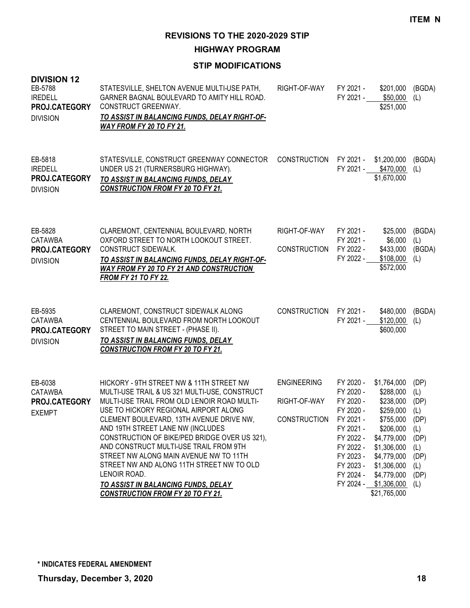**HIGHWAY PROGRAM**

| <b>DIVISION 12</b><br>EB-5788<br><b>IREDELL</b><br>PROJ.CATEGORY<br><b>DIVISION</b> | STATESVILLE, SHELTON AVENUE MULTI-USE PATH,<br>GARNER BAGNAL BOULEVARD TO AMITY HILL ROAD.<br>CONSTRUCT GREENWAY.<br>TO ASSIST IN BALANCING FUNDS, DELAY RIGHT-OF-<br><b>WAY FROM FY 20 TO FY 21.</b>                                                                                                                                                                                                                                                                                                                                                   | RIGHT-OF-WAY                                              | FY 2021 -<br>FY 2021 -                                                                                                                      | \$201,000<br>\$50,000<br>\$251,000                                                                                                                                                               | (BGDA)<br>(L)                                                                          |
|-------------------------------------------------------------------------------------|---------------------------------------------------------------------------------------------------------------------------------------------------------------------------------------------------------------------------------------------------------------------------------------------------------------------------------------------------------------------------------------------------------------------------------------------------------------------------------------------------------------------------------------------------------|-----------------------------------------------------------|---------------------------------------------------------------------------------------------------------------------------------------------|--------------------------------------------------------------------------------------------------------------------------------------------------------------------------------------------------|----------------------------------------------------------------------------------------|
| EB-5818<br><b>IREDELL</b><br>PROJ.CATEGORY<br><b>DIVISION</b>                       | STATESVILLE, CONSTRUCT GREENWAY CONNECTOR<br>UNDER US 21 (TURNERSBURG HIGHWAY).<br>TO ASSIST IN BALANCING FUNDS, DELAY<br><b>CONSTRUCTION FROM FY 20 TO FY 21.</b>                                                                                                                                                                                                                                                                                                                                                                                      | <b>CONSTRUCTION</b>                                       | FY 2021 -                                                                                                                                   | \$1,200,000<br>FY 2021 - \$470,000<br>\$1,670,000                                                                                                                                                | (BGDA)<br>(L)                                                                          |
| EB-5828<br>CATAWBA<br>PROJ.CATEGORY<br><b>DIVISION</b>                              | CLAREMONT, CENTENNIAL BOULEVARD, NORTH<br>OXFORD STREET TO NORTH LOOKOUT STREET.<br>CONSTRUCT SIDEWALK.<br>TO ASSIST IN BALANCING FUNDS, DELAY RIGHT-OF-<br><b>WAY FROM FY 20 TO FY 21 AND CONSTRUCTION</b><br><b>FROM FY 21 TO FY 22.</b>                                                                                                                                                                                                                                                                                                              | RIGHT-OF-WAY<br><b>CONSTRUCTION</b>                       | FY 2021 -<br>FY 2021 -<br>FY 2022 -<br>FY 2022 -                                                                                            | \$25,000<br>\$6,000<br>\$433,000<br>\$108,000<br>\$572,000                                                                                                                                       | (BGDA)<br>(L)<br>(BGDA)<br>(L)                                                         |
| EB-5935<br>CATAWBA<br>PROJ.CATEGORY<br><b>DIVISION</b>                              | CLAREMONT, CONSTRUCT SIDEWALK ALONG<br>CENTENNIAL BOULEVARD FROM NORTH LOOKOUT<br>STREET TO MAIN STREET - (PHASE II).<br>TO ASSIST IN BALANCING FUNDS, DELAY<br><b>CONSTRUCTION FROM FY 20 TO FY 21.</b>                                                                                                                                                                                                                                                                                                                                                | <b>CONSTRUCTION</b>                                       | FY 2021 -<br>FY 2021 -                                                                                                                      | \$480,000<br>\$120,000<br>\$600,000                                                                                                                                                              | (BGDA)<br>(L)                                                                          |
| EB-6038<br>CATAWBA<br>PROJ.CATEGORY<br><b>EXEMPT</b>                                | HICKORY - 9TH STREET NW & 11TH STREET NW<br>MULTI-USE TRAIL & US 321 MULTI-USE, CONSTRUCT<br>MULTI-USE TRAIL FROM OLD LENOIR ROAD MULTI-<br>USE TO HICKORY REGIONAL AIRPORT ALONG<br>CLEMENT BOULEVARD, 13TH AVENUE DRIVE NW,<br>AND 19TH STREET LANE NW (INCLUDES<br>CONSTRUCTION OF BIKE/PED BRIDGE OVER US 321),<br>AND CONSTRUCT MULTI-USE TRAIL FROM 9TH<br>STREET NW ALONG MAIN AVENUE NW TO 11TH<br>STREET NW AND ALONG 11TH STREET NW TO OLD<br>LENOIR ROAD.<br>TO ASSIST IN BALANCING FUNDS, DELAY<br><b>CONSTRUCTION FROM FY 20 TO FY 21.</b> | <b>ENGINEERING</b><br>RIGHT-OF-WAY<br><b>CONSTRUCTION</b> | FY 2020 -<br>FY 2020 -<br>FY 2020 -<br>FY 2020 -<br>FY 2021 -<br>FY 2021 -<br>FY 2022 -<br>FY 2022 -<br>FY 2023 -<br>FY 2023 -<br>FY 2024 - | \$1,764,000<br>\$288,000<br>\$238,000<br>\$259,000<br>\$755,000<br>\$206,000<br>\$4,779,000<br>\$1,306,000<br>\$4,779,000<br>\$1,306,000<br>\$4,779,000<br>FY 2024 - \$1,306,000<br>\$21,765,000 | (DP)<br>(L)<br>(DP)<br>(L)<br>(DP)<br>(L)<br>(DP)<br>(L)<br>(DP)<br>(L)<br>(DP)<br>(L) |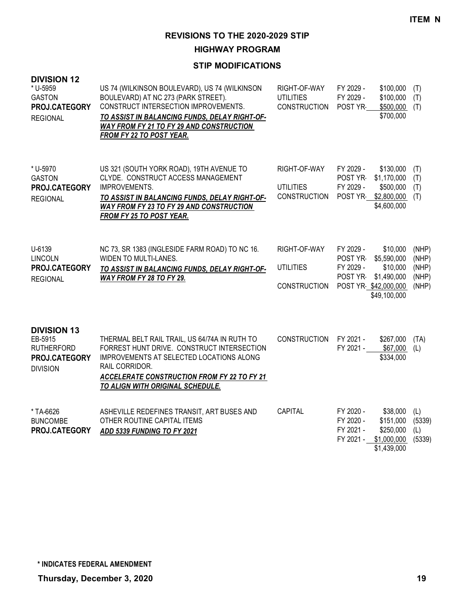**HIGHWAY PROGRAM**

| <b>DIVISION 12</b><br>* U-5959<br><b>GASTON</b><br>PROJ.CATEGORY<br><b>REGIONAL</b>    | US 74 (WILKINSON BOULEVARD), US 74 (WILKINSON<br>BOULEVARD) AT NC 273 (PARK STREET).<br>CONSTRUCT INTERSECTION IMPROVEMENTS.<br>TO ASSIST IN BALANCING FUNDS, DELAY RIGHT-OF-<br>WAY FROM FY 21 TO FY 29 AND CONSTRUCTION<br>FROM FY 22 TO POST YEAR. | RIGHT-OF-WAY<br><b>UTILITIES</b><br><b>CONSTRUCTION</b> | FY 2029 -<br>\$100,000<br>FY 2029 -<br>\$100,000<br>POST YR-<br>\$500,000<br>\$700,000                                                       | (T)<br>(T)<br>(T)                         |
|----------------------------------------------------------------------------------------|-------------------------------------------------------------------------------------------------------------------------------------------------------------------------------------------------------------------------------------------------------|---------------------------------------------------------|----------------------------------------------------------------------------------------------------------------------------------------------|-------------------------------------------|
| * U-5970<br><b>GASTON</b><br>PROJ.CATEGORY<br><b>REGIONAL</b>                          | US 321 (SOUTH YORK ROAD), 19TH AVENUE TO<br>CLYDE. CONSTRUCT ACCESS MANAGEMENT<br>IMPROVEMENTS.<br>TO ASSIST IN BALANCING FUNDS, DELAY RIGHT-OF-<br>WAY FROM FY 23 TO FY 29 AND CONSTRUCTION<br>FROM FY 25 TO POST YEAR.                              | RIGHT-OF-WAY<br><b>UTILITIES</b><br><b>CONSTRUCTION</b> | FY 2029 -<br>\$130,000<br>POST YR-<br>\$1,170,000<br>FY 2029 -<br>\$500,000<br>\$2,800,000<br>POST YR<br>\$4,600,000                         | (T)<br>(T)<br>(T)<br>(T)                  |
| U-6139<br><b>LINCOLN</b><br>PROJ.CATEGORY<br><b>REGIONAL</b>                           | NC 73, SR 1383 (INGLESIDE FARM ROAD) TO NC 16.<br>WIDEN TO MULTI-LANES.<br>TO ASSIST IN BALANCING FUNDS, DELAY RIGHT-OF-<br>WAY FROM FY 28 TO FY 29.                                                                                                  | RIGHT-OF-WAY<br><b>UTILITIES</b><br><b>CONSTRUCTION</b> | FY 2029 -<br>\$10,000<br>\$5,590,000<br>POST YR-<br>FY 2029 -<br>\$10,000<br>POST YR-<br>\$1,490,000<br>POST YR \$42,000,000<br>\$49,100,000 | (NHP)<br>(NHP)<br>(NHP)<br>(NHP)<br>(NHP) |
| <b>DIVISION 13</b><br>EB-5915<br><b>RUTHERFORD</b><br>PROJ.CATEGORY<br><b>DIVISION</b> | THERMAL BELT RAIL TRAIL, US 64/74A IN RUTH TO<br>FORREST HUNT DRIVE. CONSTRUCT INTERSECTION<br>IMPROVEMENTS AT SELECTED LOCATIONS ALONG<br>RAIL CORRIDOR.<br><b>ACCELERATE CONSTRUCTION FROM FY 22 TO FY 21</b><br>TO ALIGN WITH ORIGINAL SCHEDULE.   | CONSTRUCTION                                            | FY 2021 -<br>\$267,000<br>FY 2021 -<br>\$67,000<br>\$334,000                                                                                 | (TA)<br>(L)                               |
| * TA-6626<br><b>BUNCOMBE</b><br>PROJ.CATEGORY                                          | ASHEVILLE REDEFINES TRANSIT, ART BUSES AND<br>OTHER ROUTINE CAPITAL ITEMS<br>ADD 5339 FUNDING TO FY 2021                                                                                                                                              | CAPITAL                                                 | FY 2020 -<br>\$38,000<br>FY 2020 -<br>\$151,000<br>FY 2021 -<br>\$250,000<br>FY 2021 -<br>\$1,000,000<br>\$1,439,000                         | (L)<br>(5339)<br>(L)<br>(5339)            |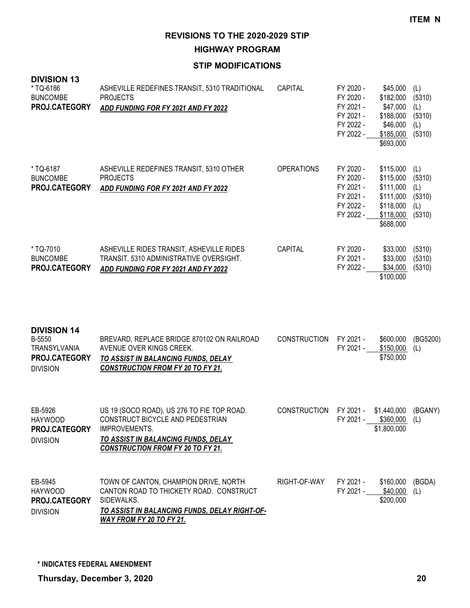**HIGHWAY PROGRAM**

#### **STIP MODIFICATIONS**

| <b>DIVISION 13</b><br>*TQ-6186<br><b>BUNCOMBE</b><br>PROJ.CATEGORY               | ASHEVILLE REDEFINES TRANSIT, 5310 TRADITIONAL<br><b>PROJECTS</b><br>ADD FUNDING FOR FY 2021 AND FY 2022                                                                            | CAPITAL             | FY 2020 -<br>FY 2020 -<br>FY 2021 -<br>FY 2021 -<br>FY 2022 -<br>FY 2022 - | \$45,000<br>\$182,000<br>\$47,000<br>\$188,000<br>\$46,000<br>\$185,000<br>\$693,000    | (L)<br>(5310)<br>(L)<br>(5310)<br>(L)<br>(5310) |
|----------------------------------------------------------------------------------|------------------------------------------------------------------------------------------------------------------------------------------------------------------------------------|---------------------|----------------------------------------------------------------------------|-----------------------------------------------------------------------------------------|-------------------------------------------------|
| *TQ-6187<br><b>BUNCOMBE</b><br>PROJ.CATEGORY                                     | ASHEVILLE REDEFINES TRANSIT, 5310 OTHER<br><b>PROJECTS</b><br>ADD FUNDING FOR FY 2021 AND FY 2022                                                                                  | <b>OPERATIONS</b>   | FY 2020 -<br>FY 2020 -<br>FY 2021 -<br>FY 2021 -<br>FY 2022 -<br>FY 2022 - | \$115,000<br>\$115,000<br>\$111,000<br>\$111,000<br>\$118,000<br>\$118,000<br>\$688,000 | (L)<br>(5310)<br>(L)<br>(5310)<br>(L)<br>(5310) |
| * TQ-7010<br><b>BUNCOMBE</b><br>PROJ.CATEGORY                                    | ASHEVILLE RIDES TRANSIT, ASHEVILLE RIDES<br>TRANSIT. 5310 ADMINISTRATIVE OVERSIGHT.<br>ADD FUNDING FOR FY 2021 AND FY 2022                                                         | CAPITAL             | FY 2020 -<br>FY 2021 -<br>FY 2022 -                                        | \$33,000<br>\$33,000<br>\$34,000<br>\$100,000                                           | (5310)<br>(5310)<br>(5310)                      |
| <b>DIVISION 14</b><br>B-5550<br>TRANSYLVANIA<br>PROJ.CATEGORY<br><b>DIVISION</b> | BREVARD, REPLACE BRIDGE 870102 ON RAILROAD<br>AVENUE OVER KINGS CREEK.<br>TO ASSIST IN BALANCING FUNDS, DELAY<br><b>CONSTRUCTION FROM FY 20 TO FY 21.</b>                          | <b>CONSTRUCTION</b> | FY 2021 -<br>FY 2021 -                                                     | \$600,000<br>\$150,000<br>\$750,000                                                     | (BG5200)<br>(L)                                 |
| EB-5926<br><b>HAYWOOD</b><br>PROJ.CATEGORY<br><b>DIVISION</b>                    | US 19 (SOCO ROAD), US 276 TO FIE TOP ROAD.<br>CONSTRUCT BICYCLE AND PEDESTRIAN<br>IMPROVEMENTS.<br>TO ASSIST IN BALANCING FUNDS, DELAY<br><b>CONSTRUCTION FROM FY 20 TO FY 21.</b> | <b>CONSTRUCTION</b> | FY 2021 -                                                                  | \$1,440,000<br>FY 2021 - \$360,000 (L)<br>\$1,800,000                                   | (BGANY)                                         |
| EB-5945                                                                          | TOWN OF CANTON, CHAMPION DRIVE, NORTH                                                                                                                                              | RIGHT-OF-WAY        | FY 2021 -                                                                  | \$160,000                                                                               | (BGDA)                                          |

**PROJ.CATEGORY** SIDEWALKS. *TO ASSIST IN BALANCING FUNDS, DELAY RIGHT-OF-WAY FROM FY 20 TO FY 21.* DIVISION

CANTON ROAD TO THICKETY ROAD. CONSTRUCT

**\* INDICATES FEDERAL AMENDMENT**

HAYWOOD

FY 2021 - \$40,000 (L)

\$200,000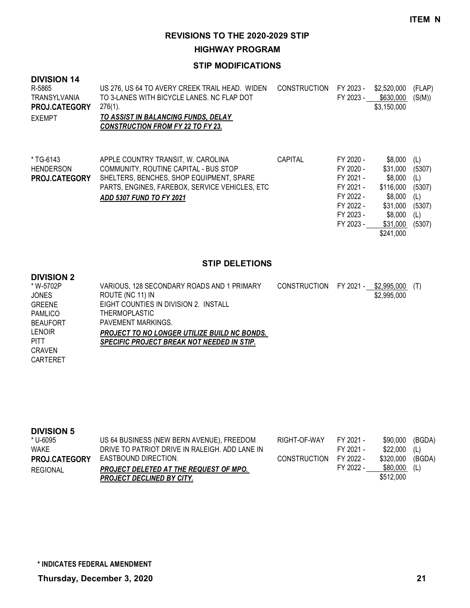**HIGHWAY PROGRAM**

## **STIP MODIFICATIONS**

| <b>DIVISION 14</b><br>R-5865<br>TRANSYLVANIA<br><b>PROJ.CATEGORY</b><br><b>EXEMPT</b> | US 276, US 64 TO AVERY CREEK TRAIL HEAD. WIDEN<br>TO 3-LANES WITH BICYCLE LANES. NC FLAP DOT<br>$276(1)$ .<br>TO ASSIST IN BALANCING FUNDS, DELAY<br><b>CONSTRUCTION FROM FY 22 TO FY 23.</b>                | <b>CONSTRUCTION</b> | FY 2023 -<br>FY 2023 -                                                                               | \$2,520,000<br>\$630,000<br>\$3,150,000                                                                | (FLAP)<br>(S(M))                                                 |
|---------------------------------------------------------------------------------------|--------------------------------------------------------------------------------------------------------------------------------------------------------------------------------------------------------------|---------------------|------------------------------------------------------------------------------------------------------|--------------------------------------------------------------------------------------------------------|------------------------------------------------------------------|
| * TG-6143<br><b>HENDERSON</b><br><b>PROJ.CATEGORY</b>                                 | APPLE COUNTRY TRANSIT. W. CAROLINA<br>COMMUNITY, ROUTINE CAPITAL - BUS STOP<br>SHELTERS, BENCHES, SHOP EQUIPMENT, SPARE<br>PARTS, ENGINES, FAREBOX, SERVICE VEHICLES, ETC<br><b>ADD 5307 FUND TO FY 2021</b> | <b>CAPITAL</b>      | FY 2020 -<br>FY 2020 -<br>FY 2021 -<br>FY 2021 -<br>FY 2022 -<br>FY 2022 -<br>FY 2023 -<br>FY 2023 - | \$8,000<br>\$31,000<br>\$8,000<br>\$116,000<br>\$8,000<br>\$31,000<br>\$8,000<br>\$31,000<br>\$241,000 | (L)<br>(5307)<br>(L)<br>(5307)<br>(L)<br>(5307)<br>(L)<br>(5307) |

# **STIP DELETIONS**

#### **DIVISION 2**

| * W-5702P       | VARIOUS, 128 SECONDARY ROADS AND 1 PRIMARY          | CONSTRUCTION FY 2021 - | \$2.995.000 | (T) |
|-----------------|-----------------------------------------------------|------------------------|-------------|-----|
| <b>JONES</b>    | ROUTE (NC 11) IN                                    |                        | \$2,995,000 |     |
| <b>GREENE</b>   | EIGHT COUNTIES IN DIVISION 2. INSTALL               |                        |             |     |
| <b>PAMLICO</b>  | <b>THERMOPLASTIC</b>                                |                        |             |     |
| <b>BEAUFORT</b> | PAVEMENT MARKINGS.                                  |                        |             |     |
| LENOIR          | <b>PROJECT TO NO LONGER UTILIZE BUILD NC BONDS.</b> |                        |             |     |
| <b>PITT</b>     | <b>SPECIFIC PROJECT BREAK NOT NEEDED IN STIP.</b>   |                        |             |     |
| CRAVEN          |                                                     |                        |             |     |
| CARTERET        |                                                     |                        |             |     |
|                 |                                                     |                        |             |     |

| <b>DIVISION 5</b>    |                                                |              |           |           |        |
|----------------------|------------------------------------------------|--------------|-----------|-----------|--------|
| * U-6095             | US 64 BUSINESS (NEW BERN AVENUE), FREEDOM      | RIGHT-OF-WAY | FY 2021 - | \$90.000  | (BGDA) |
| WAKE                 | DRIVE TO PATRIOT DRIVE IN RALEIGH. ADD LANE IN |              | FY 2021 - | \$22.000  | (L)    |
| <b>PROJ.CATEGORY</b> | EASTBOUND DIRECTION.                           | CONSTRUCTION | FY 2022 - | \$320.000 | (BGDA) |
| REGIONAL             | PROJECT DELETED AT THE REQUEST OF MPO.         |              | FY 2022 - | \$80.000  | (L)    |
|                      | <b>PROJECT DECLINED BY CITY.</b>               |              |           | \$512,000 |        |
|                      |                                                |              |           |           |        |